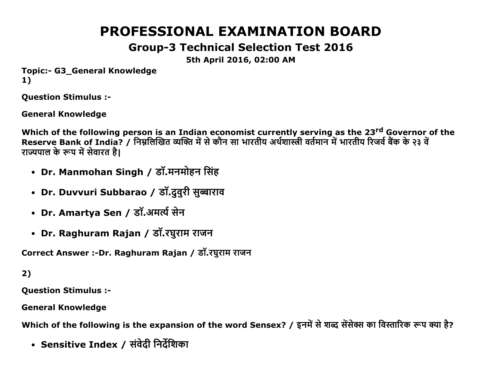# PROFESSIONAL EXAMINATION BOARD

# Group3 Technical Selection Test 2016

5th April 2016, 02:00 AM

Topic:- G3 General Knowledge 1)

Question Stimulus :

General Knowledge

Which of the following person is an Indian economist currently serving as the 23<sup>rd</sup> Governor of the Reserve Bank of India? / निम्नलिखित व्यक्ति में से कौन सा भारतीय अर्थशास्त्री वर्तमान में भारतीय रिजर्व बैक के २३ व राज्यपाल के रूप में सेवारत है।

- Dr. Manmohan Singh / डॉ.मनमोहन सिंह
- Dr. Duvvuri Subbarao / डॉ.दुवुरी सुब्बाराव
- Dr. Amartya Sen / डॉ.अमर्त्य सेन
- Dr. Raghuram Rajan / डॉ.रघुराम राजन

Correct Answer :-Dr. Raghuram Rajan / डॉ.रघुराम राजन

# 2)

Question Stimulus :

General Knowledge

Which of the following is the expansion of the word Sensex? / इनमें से शब्द सेंसेक्स का विस्तारिक रूप क्या है?

• Sensitive Index / संवेदी निर्देशिका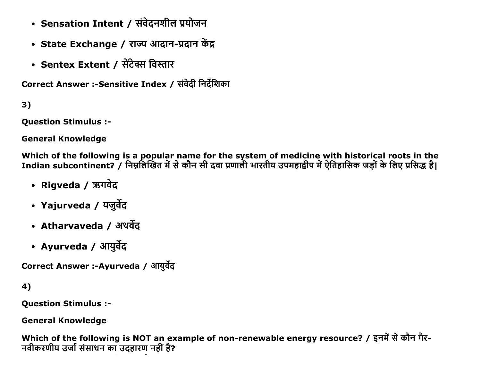- Sensation Intent / संवेदनशील प्रयोजन
- State Exchange / राज्य आदान-प्रदान केंद्र
- Sentex Extent / सेंटेक्स विस्तार

Correct Answer :-Sensitive Index / संवेदी निर्देशिका

 $3)$ 

**Question Stimulus :-**

**General Knowledge** 

Which of the following is a popular name for the system of medicine with historical roots in the Indian subcontinent? / निम्नलिखित में से कौन सी दवा प्रणाली भारतीय उपमहाद्वीप में ऐतिहासिक जड़ों के लिए प्रसिद्ध है।

- Rigveda / ऋगवेद
- Yajurveda / यजुर्वेद
- Atharvaveda / अथर्वेद
- Ayurveda / आयुर्वेद

Correct Answer :-Ayurveda / आयुर्वेद

4)

**Question Stimulus :-**

**General Knowledge** 

Which of the following is NOT an example of non-renewable energy resource? / इनमें से कौन गैर-नवीकरणीय उर्जा संसाधन का उदहारण नहीं है?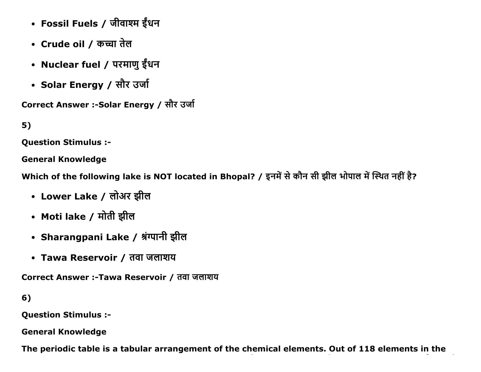- Fossil Fuels / जीवाश्म ईंधन
- Crude oil / कच्चा तेल
- Nuclear fuel / परमाणु ईंधन
- Solar Energy / सौर उर्जा

Correct Answer :-Solar Energy / सौर उर्जा

5)

Question Stimulus :

General Knowledge

Which of the following lake is NOT located in Bhopal? / इनमें से कौन सी झील भोपाल में स्थित नहीं है?

- Lower Lake / लोअर झील
- Moti lake / मोती झील
- Sharangpani Lake / श्रंग्पानी झील
- Tawa Reservoir / तवा जलाशय

Correct Answer :-Tawa Reservoir / तवा जलाशय

6)

Question Stimulus :

General Knowledge

The periodic table is a tabular arrangement of the chemical elements. Out of 118 elements in the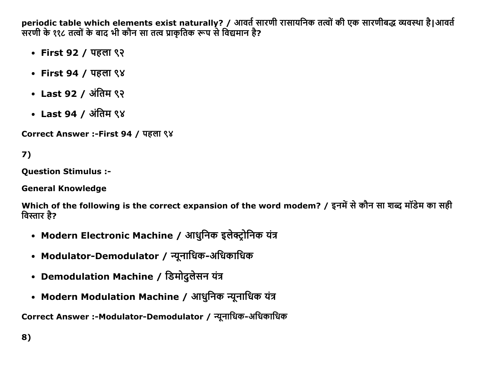periodic table which elements exist naturally? / आवते सारणी रासायनिक तत्वों की एक सारणीबद्ध व्यवस्था है|आवते ' सरणी के ११८ तत्वों के बाद भी कौन सा तत्व प्राकृतिक रूप से विद्यमान है?

- First 92 / पहला ९२
- First 94 / पहला ९४
- Last 92 / अंतिम ९२
- Last 94 / अंतिम ९४

Correct Answer :-First 94 / पहला ९४

7)

Question Stimulus :

General Knowledge

Which of the following is the correct expansion of the word modem? / इनमें से कौन सा शब्द मॉडेम का सही विस्तार है?

- Modern Electronic Machine / आधुनिक इलेक्ट्रोनिक यंत्र
- Modulator-Demodulator / न्यूनाधिक-अधिकाधिक
- Demodulation Machine / डिमोदुलेसन यंत्र
- Modern Modulation Machine / आधुनिक न्यूनाधिक यंत्र

Correct Answer :-Modulator-Demodulator / न्यूनाधिक-अधिकाधिक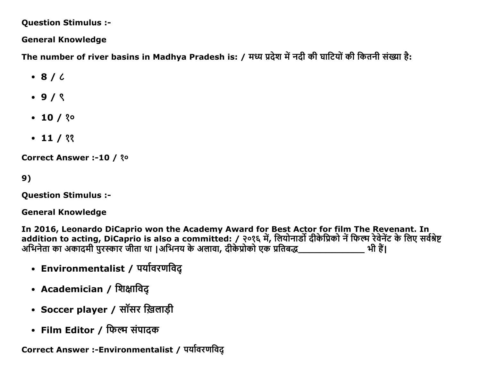**Question Stimulus :-**

**General Knowledge** 

The number of river basins in Madhya Pradesh is: / मध्य प्रदेश में नदी की घाटियों की कितनी संख्या है:

- $\cdot$  8/6
- $.9/8$
- $\cdot$  10 / ? $\circ$
- $\cdot$  11 / ??

**Correct Answer :-10 / ?º** 

 $9)$ 

**Question Stimulus :-**

**General Knowledge** 

In 2016, Leonardo DiCaprio won the Academy Award for Best Actor for film The Revenant. In addition to acting, DiCaprio is also a committed: / २०१६ में, लियोनार्डो दीकेप्रिको नें फिल्म रेवेनेंट के लिए सर्वश्रेष्ट<br>अभिनेता का अकादमी पुरस्कार जीता था |अभिनय के अलावा, दीकेप्रोको एक प्रतिबद्ध\_\_\_\_\_\_\_\_\_\_\_\_\_\_\_\_\_\_\_\_\_\_ भ

- Environmentalist / पर्यावरणविद्
- Academician / शिक्षाविद्
- Soccer player / सॉसर ख़िलाड़ी
- Film Editor / फिल्म संपादक

Correct Answer :-Environmentalist / पर्यावरणविद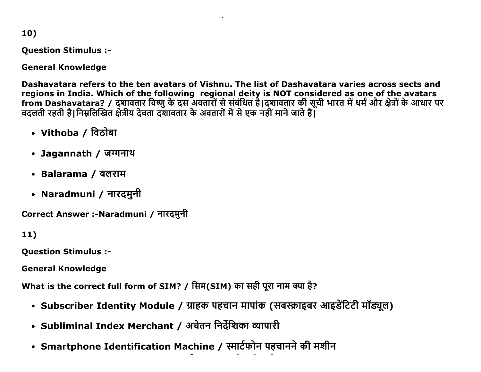10)

Question Stimulus :

General Knowledge

Dashavatara refers to the ten avatars of Vishnu. The list of Dashavatara varies across sects and regions in India. Which of the following regional deity is NOT considered as one of the avatars from Dashavatara? / दशावतार विष्णु के दस अवतारों से संबंधित है|दशावतार की सूची भारत में धर्म और क्षेत्रों के आधार पर बदलती रहती है|निम्नलिखित क्षेत्रीय देवता दशावतार के अवतारों में से एक नहीं माने जाते हैं|

- Vithoba / विठोबा
- Jagannath / जग्गनाथ
- Balarama / बलराम
- Naradmuni / नारदमुनी

Correct Answer :-Naradmuni / नारदमुनी

11)

Question Stimulus :

General Knowledge

What is the correct full form of SIM? / सिम(SIM) का सही पूरा नाम क्या है?

- Subscriber Identity Module / ग्राहक पहचान मापांक (सबस्क्राइबर आइडेंटिटी मॉड्यूल)
- Subliminal Index Merchant / अचेतन निर्देशिका व्यापारी
- Smartphone Identification Machine / स्मार्टफोन पहचानने की मशीन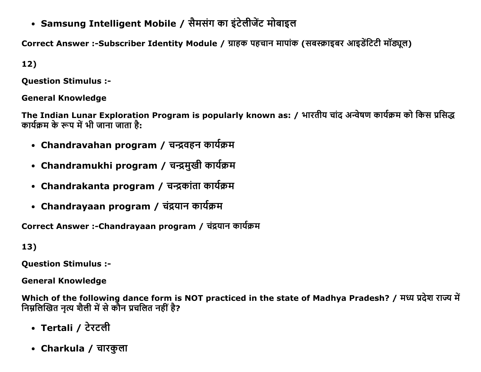• Samsung Intelligent Mobile / सैमसंग का इंटेलीजेंट मोबाइल

Correct Answer :-Subscriber Identity Module / ग्राहक पहचान मापांक (सबस्क्राइबर आइडेंटिटी मॉड्यूल)

12)

Question Stimulus :

General Knowledge

The Indian Lunar Exploration Program is popularly known as: / भारतीय चांद अन्वेषण कार्यक्रम को किस प्रसिद्ध कार्यक्रम के रूप में भी जाना जाता है:

- Chandravahan program / चन्द्रवहन कार्यक्रम
- Chandramukhi program / चन्द्रमुखी कार्यक्रम
- Chandrakanta program / चन्द्रकांता कार्यक्रम
- Chandrayaan program / चंद्रयान कार्यक्रम

Correct Answer :-Chandrayaan program / चंद्रयान कार्यक्रम

13)

Question Stimulus :

General Knowledge

Which of the following dance form is NOT practiced in the state of Madhya Pradesh? / मध्य प्रदेश राज्य में निम्नलिखित नृत्य शैली में से कौन प्रचलित नहीं है?

- Tertali / टेरटली
- Charkula / चारकुला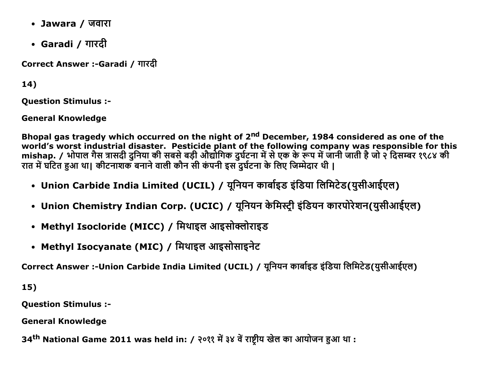- Jawara / जवारा
- Garadi / गारदी

Correct Answer :-Garadi / गारदी

 $14)$ 

**Ouestion Stimulus :-**

**General Knowledge** 

Bhopal gas tragedy which occurred on the night of 2<sup>nd</sup> December, 1984 considered as one of the world's worst industrial disaster. Pesticide plant of the following company was responsible for this<br>mishap. / भोपाल गैस त्रासदी दुनिया की सबसे बड़ी औद्योगिक दुर्घटना में से एक के रूप में जानी जाती है जो २ दिसम्बर १९८४ की रात में घटित हुआ था। कीटनाशक बनाने वाली कौन सी कंपनी इस दुर्घटना के लिए जिम्मेदार थी।

- Union Carbide India Limited (UCIL) / यूनियन कार्बाइड इंडिया लिमिटेड(युसीआईएल)
- Union Chemistry Indian Corp. (UCIC) / यूनियन केमिस्ट्री इंडियन कारपोरेशन(युसीआईएल)
- Methyl Isocloride (MICC) / मिथाइल आइसोक्लोराइड
- Methyl Isocyanate (MIC) / मिथाइल आइसोसाइनेट

Correct Answer :-Union Carbide India Limited (UCIL) / यूनियन कार्बाइड इंडिया लिमिटेड(युसीआईएल)

 $15)$ 

**Question Stimulus :-**

**General Knowledge** 

34<sup>th</sup> National Game 2011 was held in: / २०११ में ३४ वें राष्ट्रीय खेल का आयोजन हुआ था :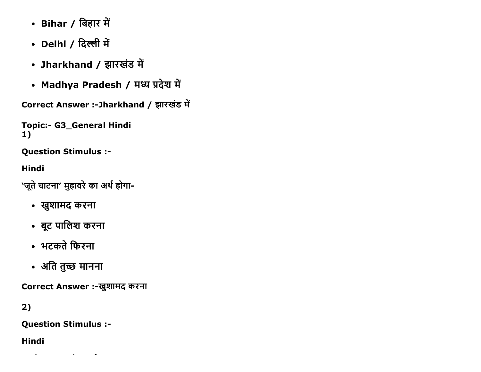- Bihar / बिहार में
- Delhi / दिल्ली में
- Jharkhand / झारखंड में
- Madhya Pradesh / मध्य प्रदेश में

Correct Answer :-Jharkhand / झारखंड में

**Topic:- G3\_General Hindi**  $1)$ 

**Question Stimulus :-**

**Hindi** 

'जूते चाटना' मुहावरे का अर्थ होगा-

- खुशामद करना
- बूट पालिश करना
- भटकते फिरना
- अति तुच्छ मानना

Correct Answer :-खुशामद करना

 $2)$ 

**Question Stimulus :-**

**Hindi**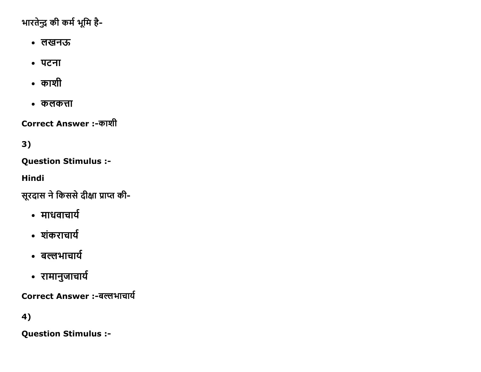भारतेन्द्र की कर्म भूमि है-

- लखनऊ
- पटना
- $\bullet$  काशी
- कलकत्ता

Correct Answer :-काशी

3)

Question Stimulus :

Hindi

सूरदास ने किससे दीक्षा प्राप्त की-

- माधवाचार्य
- शंकराचार्य
- बल्लभाचार्य
- रामानुजाचार्य

Correct Answer :-बल्लभाचार्य

4)

Question Stimulus :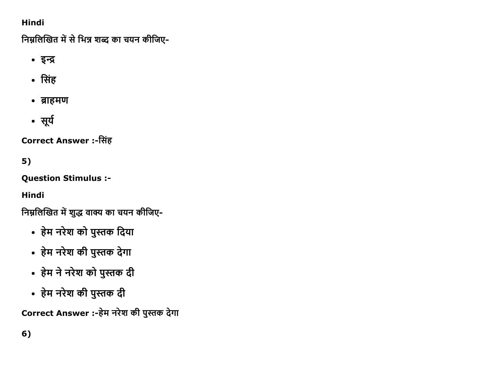# Hindi

निम्नलिखित में से भिन्न शब्द का चयन कीजिए-

- इက
- $\cdot$  सिंह
- ब्राहमण
- सूर्य

**Correct Answer :-सिंह** 

5)

Question Stimulus :

Hindi

निम्नलिखित में शुद्ध वाक्य का चयन कीजिए-

- हेम नरेश को पुस्तक दिया
- हेम नरेश की पुस्तक देगा
- हेम ने नरेश को पुस्तक दी
- हेम नरेश की पुस्तक दी

Correct Answer :-हेम नरेश की पुस्तक देगा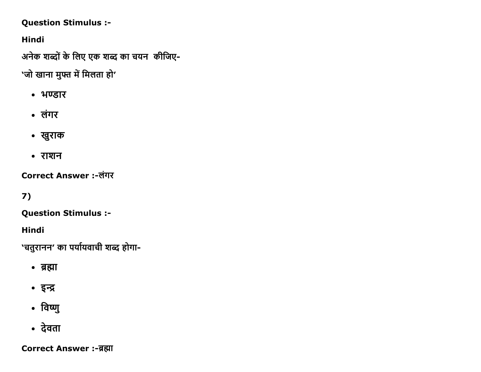## **Question Stimulus :-**

**Hindi** 

अनेक शब्दों के लिए एक शब्द का चयन कीजिए-

'जो खाना मुफ्त में मिलता हो'

- भण्डार
- लंगर
- खुराक
- राशन

Correct Answer :-लंगर

 $7)$ 

**Question Stimulus :-**

Hindi

'चतुरानन' का पर्यायवाची शब्द होगा-

- ब्रह्मा
- इन्द्र
- विष्णु
- देवता

**Correct Answer :-ब्रह्मा**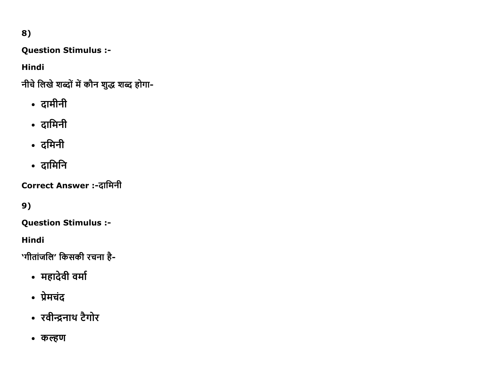8)

**Question Stimulus :-**

**Hindi** 

नीचे लिखे शब्दों में कौन शुद्ध शब्द होगा-

- दामीनी
- दामिनी
- दमिनी
- दामिनि

Correct Answer :-दामिनी

9)

**Question Stimulus :-**

**Hindi** 

'गीतांजलि' किसकी रचना है-

- महादेवी वर्मा
- प्रेमचंद
- रवीन्द्रनाथ टैगोर
- कल्हण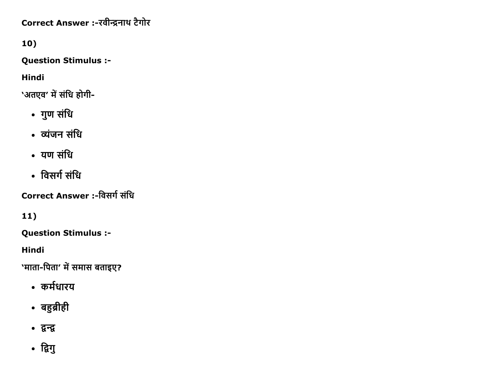Correct Answer :- रवीन्द्रनाथ टैगोर

10)

**Question Stimulus :-**

**Hindi** 

'अतएव' में संधि होगी-

- गुण संधि
- व्यंजन संधि
- यण संधि
- विसर्ग संधि

Correct Answer :-विसर्ग संधि

11)

**Question Stimulus :-**

**Hindi** 

'माता-पिता' में समास बताइए?

- कर्मधारय
- बहुब्रीही
- द्वन्द्व
- द्विगु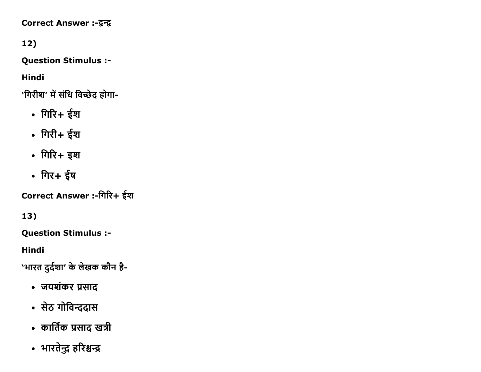**Correct Answer :-द्वन्द्व** 

12)

Question Stimulus :

Hindi

'गिरीश' में संधि विच्छेद होगा-

- गिरि+ ईश
- $\cdot$  गिरी+ ईश
- $\cdot$  गिरि+ इश
- गिर+ ईष

Correct Answer :-गिरि+ ईश

13)

Question Stimulus :

Hindi

'भारत दुर्दशा' के लेखक कौन है-

- जयशंकर प्रसाद
- सेठ गोविन्ददास
- कार्तिक प्रसाद खत्री
- भारतेन्द्र हरिश्चन्द्र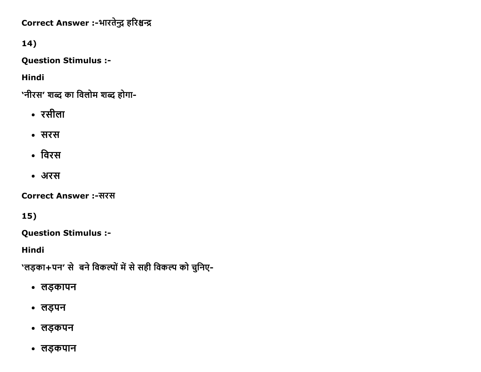Correct Answer :-भारतेन्द्र हरिश्चन्द्र

14)

**Question Stimulus :-**

**Hindi** 

'नीरस' शब्द का विलोम शब्द होगा-

- रसीला
- सरस
- विरस
- अरस

**Correct Answer:-सरस** 

15)

**Question Stimulus :-**

**Hindi** 

'लड़का+पन' से बने विकल्पों में से सही विकल्प को चुनिए-

- लड़कापन
- लड़पन
- लड़कपन
- लड़कपान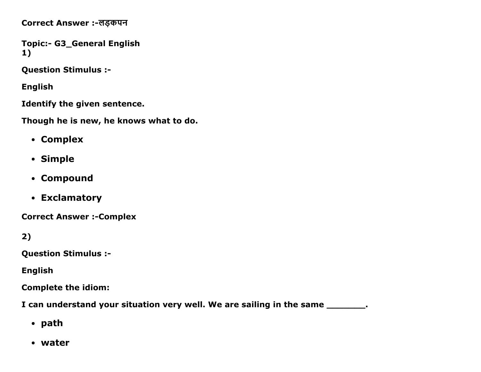Correct Answer :-लड़कपन

Topic:- G3\_General English 1)

Question Stimulus :

English

Identify the given sentence.

Though he is new, he knows what to do.

- Complex
- Simple
- Compound
- Exclamatory

**Correct Answer :- Complex** 

2)

Question Stimulus :

English

Complete the idiom:

I can understand your situation very well. We are sailing in the same \_\_\_\_\_\_\_\_.

- path
- water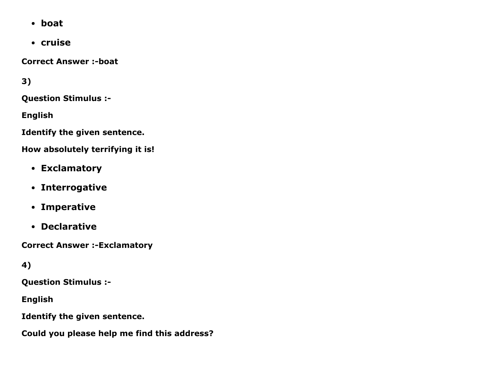- boat
- cruise

**Correct Answer :-boat** 

3)

Question Stimulus :

English

Identify the given sentence.

How absolutely terrifying it is!

- Exclamatory
- Interrogative
- Imperative
- Declarative

**Correct Answer :- Exclamatory** 

# 4)

Question Stimulus :

English

Identify the given sentence.

Could you please help me find this address?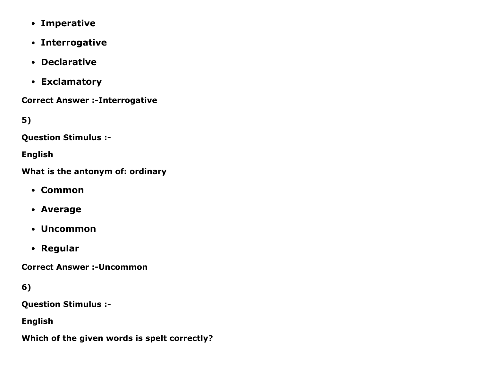- Imperative
- Interrogative
- Declarative
- Exclamatory

**Correct Answer :- Interrogative** 

5)

Question Stimulus :

English

What is the antonym of: ordinary

- Common
- Average
- Uncommon
- Regular

**Correct Answer :- Uncommon** 

6)

Question Stimulus :

English

Which of the given words is spelt correctly?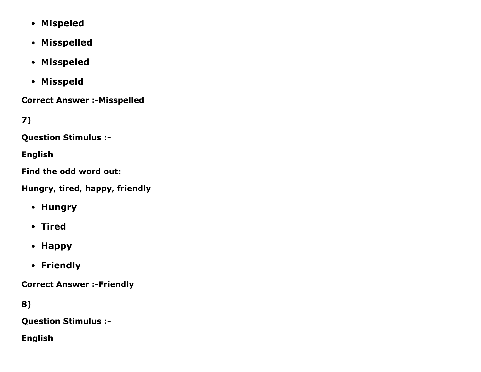- Mispeled
- Misspelled
- Misspeled
- Misspeld

**Correct Answer :- Misspelled** 

7)

Question Stimulus :

English

Find the odd word out:

Hungry, tired, happy, friendly

- Hungry
- Tired
- Happy
- Friendly

**Correct Answer :- Friendly** 

8)

Question Stimulus :

English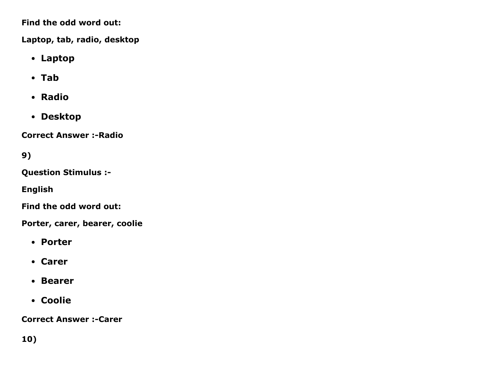Find the odd word out:

Laptop, tab, radio, desktop

- Laptop
- Tab
- Radio
- Desktop

**Correct Answer :- Radio** 

9)

Question Stimulus :

English

Find the odd word out:

Porter, carer, bearer, coolie

- Porter
- Carer
- Bearer
- Coolie

**Correct Answer :-Carer**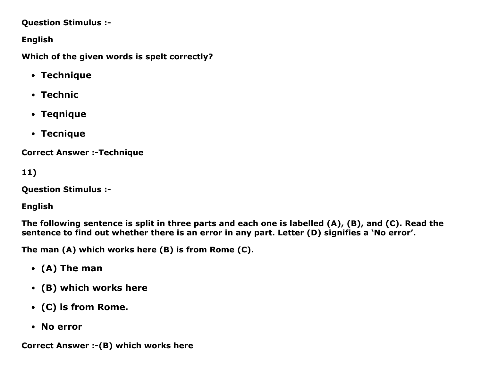#### Question Stimulus :

## English

Which of the given words is spelt correctly?

- Technique
- Technic
- Teqnique
- Tecnique

**Correct Answer :- Technique** 

```
11)
```
Question Stimulus :

English

The following sentence is split in three parts and each one is labelled (A), (B), and (C). Read the sentence to find out whether there is an error in any part. Letter (D) signifies a 'No error'.

The man (A) which works here (B) is from Rome (C).

- (A) The man
- (B) which works here
- (C) is from Rome.
- No error

Correct Answer :- (B) which works here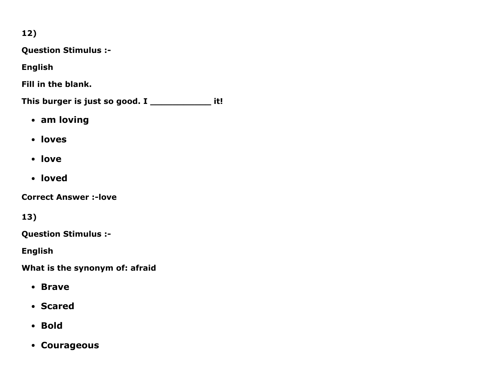12)

Question Stimulus :

English

Fill in the blank.

This burger is just so good. I \_\_\_\_\_\_\_\_\_\_\_\_\_ it!

- am loving
- loves
- love
- loved

**Correct Answer :- love** 

13)

Question Stimulus :

English

What is the synonym of: afraid

- Brave
- Scared
- Bold
- Courageous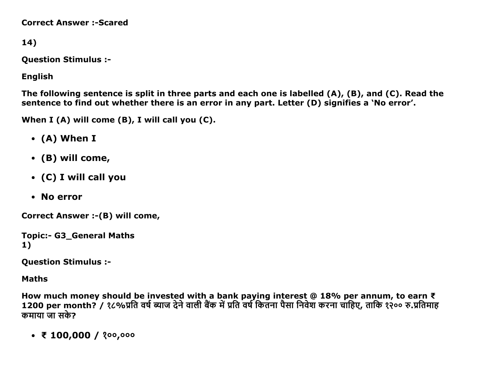**Correct Answer :- Scared** 

14)

**Question Stimulus :-**

**English** 

The following sentence is split in three parts and each one is labelled  $(A)$ ,  $(B)$ , and  $(C)$ . Read the sentence to find out whether there is an error in any part. Letter (D) signifies a 'No error'.

When I (A) will come (B), I will call you (C).

- $\bullet$  (A) When I
- $\bullet$  (B) will come,
- (C) I will call you
- No error

Correct Answer :- (B) will come,

```
Topic:- G3 General Maths
1)
```
**Question Stimulus :-**

**Maths** 

How much money should be invested with a bank paying interest  $@$  18% per annum, to earn  $\bar{\tau}$ 1200 per month? / १८%प्रति वर्ष ब्याज देने वाली बैंक में प्रति वर्ष कितना पैसा निवेश करना चाहिए, ताकि १२०० रु.प्रतिमाह कमाया जा सके?

•  $\bar{x}$  100,000 / ?00,000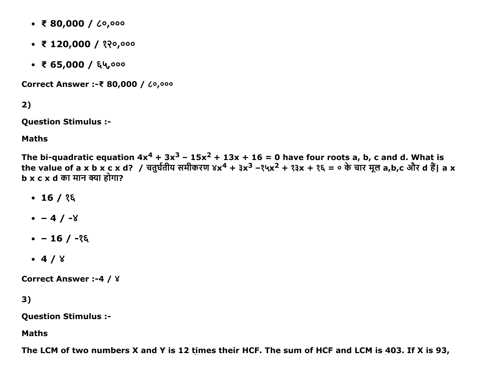- $\overline{x}$  80,000 /  $\zeta$ 0,000
- $\bar{x}$  120,000 / १२०,०००
- $\bullet$  ₹ 65,000 / ६५,०००

Correct Answer :- ₹ 80,000 / 60,000

 $2)$ 

**Question Stimulus :-**

**Maths** 

The bi-quadratic equation  $4x^4 + 3x^3 - 15x^2 + 13x + 16 = 0$  have four roots a, b, c and d. What is the value of a x b x c x d? / चतुर्घतीय समीकरण ४x<sup>4</sup> + ३x<sup>3</sup> -१५x<sup>2</sup> + १३x + १६ = ० के चार मूल a,b,c और d हैं। a x  $b \times c \times d$  का मान क्या होगा?

- $\cdot$  16 / १६
- $-4/ -8$
- $-16/ 26$
- $-4/8$

**Correct Answer :-4 / 8** 

3)

**Question Stimulus :-**

**Maths** 

The LCM of two numbers X and Y is 12 times their HCF. The sum of HCF and LCM is 403. If X is 93,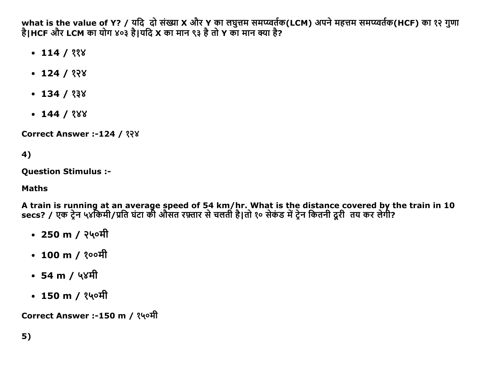what is the value of Y? / यदि दो संख्या X और Y का लघुत्तम समप्य्वर्तक(LCM) अपने महत्तम समप्य्वर्तक(HCF) का १२ गुणा<br>है|HCF और LCM का योग ४०३ है|यदि X का मान ९३ है तो Y का मान क्या है?

- $\cdot$  114 / 338
- $\cdot$  124 / १२४
- $\cdot$  134 / १३४
- $\cdot$  144 / ? $88$

**Correct Answer :-124 / ???** 

4)

**Ouestion Stimulus :-**

## **Maths**

A train is running at an average speed of 54 km/hr. What is the distance covered by the train in 10<br>secs? / एक ट्रेन ५४किमी/प्रति घंटा की औसत रफ़्तार से चलती है|तो १० सेकंड में ट्रेन कितनी दूरी तय कर लेगी?

- 250 m / २५०मी
- 100 m /  $200$  H
- $\cdot$  54 m / ५४मी
- 150 m / १५०मी

Correct Answer :-150 m / १५०मी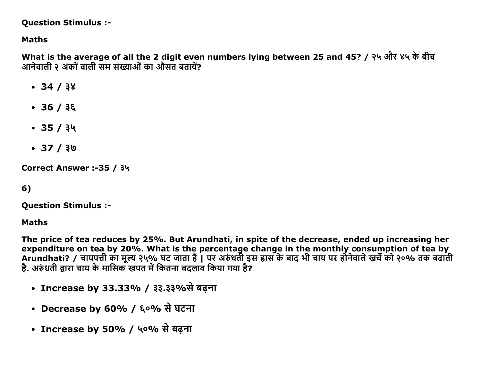#### **Question Stimulus :-**

### **Maths**

What is the average of all the 2 digit even numbers lying between 25 and 45? / २५ और ४५ के बीच आनेवाली २ अंकों वाली सम संख्याओं का औसत बतायें?

- $-34/38$
- $\cdot$  36 / ३६
- $-35/34$
- $37 / 30$

Correct Answer :-35 / ३५

 $6)$ 

**Question Stimulus :-**

**Maths** 

The price of tea reduces by 25%. But Arundhati, in spite of the decrease, ended up increasing her expenditure on tea by 20%. What is the percentage change in the monthly consumption of tea by Arundhati? / चायपत्ती का मूल्य २५% घट जाता है। पर अरुंधती इस ह्रास के बाद भी चाय पर होनेवाले खर्चे को २०% तक बढाती है. अरुंधती द्वारा चाय के मासिक खपत में कितना बढलाव किया गया है?

- Increase by 33.33% / ३३.३३%से बढ़ना
- Decrease by 60% / ६०% से घटना
- Increase by 50% / ५०% से बढ़ना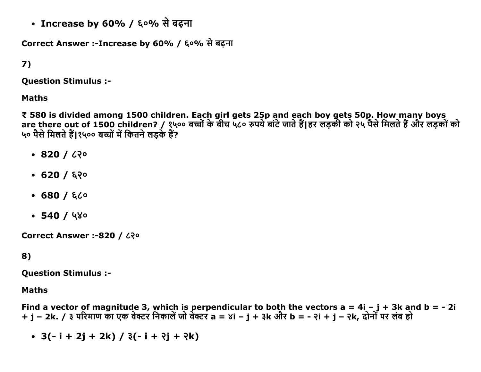• Increase by 60% / ६०% से बढ़ना

Correct Answer :-Increase by 60% / ६०% से बढ़ना

# 7)

Question Stimulus :

#### Maths

₹ 580 is divided among 1500 children. Each girl gets 25p and each boy gets 50p. How many boys are there out of 1500 children? / १५०० बच्चों के बीच ५८० रुपये बाटे जाते है|हर लड़की को २५ पैसे मिलते हैं और लड़को को ५० पैसे मिलते हैं।१५०० बच्चों में कितने लड़के हैं?

- $-820/220$
- $-620/620$
- $-680/620$
- $-540/480$

Correct Answer :-820 / ८२०

#### 8)

Question Stimulus :

#### Maths

Find a vector of magnitude 3, which is perpendicular to both the vectors  $a = 4i - j + 3k$  and  $b = -2i$  $+$  j – 2k. / ३ परिमाण का एक वेक्टर निकालें जो वेक्टर a = ४i – j + ३k और b = - २i + j – २k, दोनों पर लंब हो

 $\bullet$  3(-i + 2j + 2k) /  $3(-i + 3j + 3k)$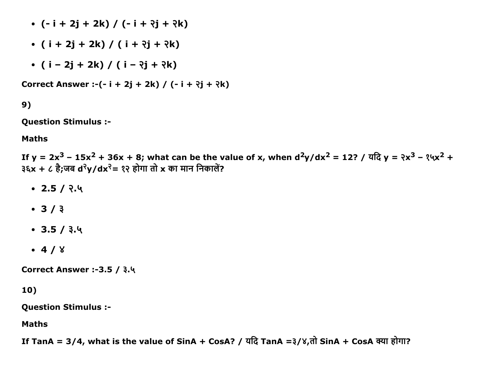- $\cdot$  (- i + 2j + 2k) / (- i +  $\partial j$  +  $\partial k$ )
- $\bullet$  ( i + 2j + 2k) / ( i +  $\partial j$  +  $\partial k$ )
- $\bullet$  ( i 2j + 2k) / ( i  $\lambda$ j +  $\lambda$ k)

Correct Answer :- $(-i + 2j + 2k)$  /  $(-i + 2j + 3k)$ 

9)

Question Stimulus :

Maths

If y = 2x $^3$  – 15x $^2$  + 36x + 8; what can be the value of x, when d $^2$ y/dx $^2$  = 12? / ਧदਿ y = २x $^3$  – १५x $^2$  +  $3\xi x + c \overrightarrow{6}$ ;जब d $\sqrt[3]{y}$ dx $\sqrt[3]{z} = 3$ २ होगा तो x का मान निकालें?

- $-2.5 / 2.4$
- $-3/3$
- $\cdot$  3.5 /  $3.4$
- $-4/8$

**Correct Answer :-3.5 / ३.५** 

10)

Question Stimulus :

Maths

If TanA = 3/4, what is the value of SinA + CosA? / यदि TanA =३/४,तो SinA + CosA क्या होगा?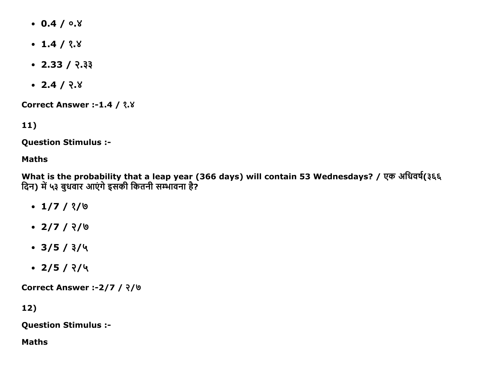- $0.4 / 0.8$
- $\cdot$  1.4 / ?. $8$
- $\cdot$  2.33 /  $\sqrt{}$ .33
- $-2.4 / 2.8$

**Correct Answer :-1.4 / ?.** 

11)

Question Stimulus :

#### Maths

What is the probability that a leap year (366 days) will contain 53 Wednesdays? / एक अधिवर्ष(३६६ दिन) में ५३ बुधवार आएंगे इसकी कितनी सम्भावना है?

- $\cdot$  1/7/  $\frac{2}{9}$
- $\cdot$  2/7 / ?/
- $\cdot$  3/5 /  $3/4$
- $\cdot$  2/5 / ?/५

Correct Answer :2/7 / ͙/͞

12)

Question Stimulus :

Maths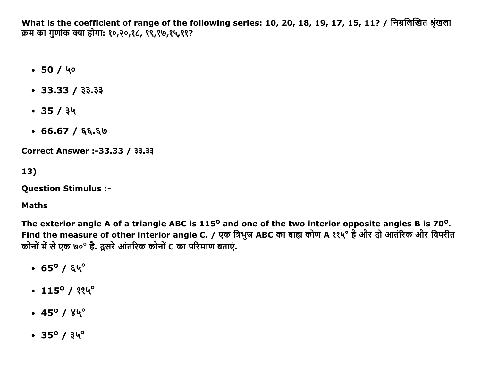What is the coefficient of range of the following series: 10, 20, 18, 19, 17, 15, 11? / निम्नलिखित श्रृंखला क्रम का गुणांक क्या होगा: १०,२०,१८, १९,१७,१५,११?

- $-50/40$
- $\cdot$  33.33 / 33.33
- $-35/34$
- $\cdot$  66.67 / ६६.६७

Correct Answer :-33.33 / 33.33

 $13)$ 

**Question Stimulus :-**

#### **Maths**

The exterior angle A of a triangle ABC is 115<sup>o</sup> and one of the two interior opposite angles B is 70<sup>o</sup>. Find the measure of other interior angle C. / एक त्रिभुज ABC का बाह्य कोण A ११५° है और दो आतंरिक और विपरीत कोनों में से एक ७०° है. दूसरे आंतरिक कोनों C का परिमाण बताएं.

- $\cdot$  65<sup>o</sup> / ६५<sup>o</sup>
- $115^{\circ}$  /  $334^{\circ}$
- $\cdot$  45<sup>o</sup> /  $84^{\circ}$
- $\cdot$  35<sup>0</sup> /  $34^{\circ}$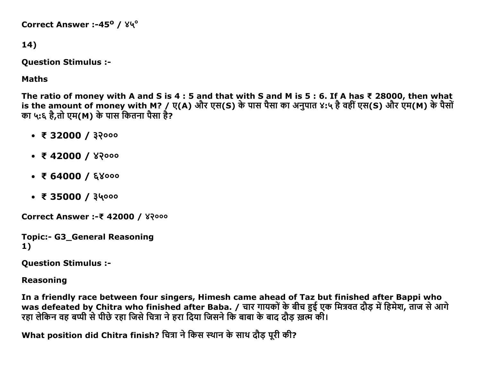Correct Answer :-45<sup>o</sup> /  $84^\circ$ 

#### 14)

Question Stimulus :

## Maths

The ratio of money with A and S is 4 : 5 and that with S and M is 5 : 6. If A has ₹ 28000, then what is the amount of money with M? / ए(A) और एस(S) के पास पैसा का अनुपात ४:५ है वहीं एस(S) और एम(M) के पैसों का ५:६ है,तो एम(M) के पास कितना पैसा है?

- $\bullet$  ₹ 32000 /  $32000$
- $\bullet$  ₹ 42000 /  $82000$
- $\bullet$  ₹ 64000 / ६४०००
- $\bullet$  ₹ 35000 / ३५०००

Correct Answer :- ₹42000 / ४२०००

```
Topic:- G3_General Reasoning
1)
```
Question Stimulus :

Reasoning

In a friendly race between four singers, Himesh came ahead of Taz but finished after Bappi who was defeated by Chitra who finished after Baba. / चार गायकों के बीच हुई एक मित्रवत दौड़ में हिमेश, ताज से आगे न्दार् केलेलेले करवल हैं, क्रिकेट केलेलेले के लिए क्रिकेट के लिए क्रिकेट करने के बाद दौड़ ख़त्म की।<br>रहा लेकिन वह बप्पी से पीछे रहा जिसे चित्रा ने हरा दिया जिसने कि बाबा के बाद दौड़ ख़त्म की।

What position did Chitra finish? चित्रा ने किस स्थान के साथ दौड़ पूरी की?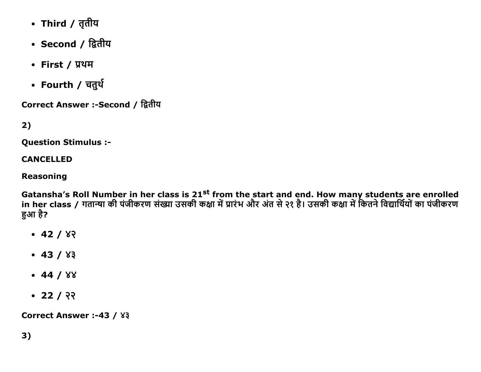- Third / तृतीय
- Second / द्वितीय
- First / प्रथम
- Fourth / चतुर्थ

Correct Answer :- Second / द्वितीय

# $2)$

**Ouestion Stimulus :-**

#### **CANCELLED**

#### **Reasoning**

Gatansha's Roll Number in her class is 21<sup>st</sup> from the start and end. How many students are enrolled<br>in her class / गतान्या की पंजीकरण संख्या उसकी कक्षा में प्रारंभ और अंत से २१ है। उसकी कक्षा में कितने विद्यार्थियों का प हआ है?

- $-42/82$
- $-43/83$
- $-44/88$
- $\cdot$  22 / २२

Correct Answer :-43 / ४३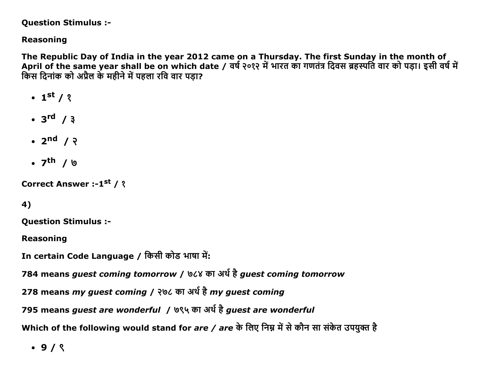#### **Question Stimulus :-**

## **Reasoning**

The Republic Day of India in the year 2012 came on a Thursday. The first Sunday in the month of April of the same year shall be on which date / वर्ष २०१२ में भारत का गणतंत्र दिवस ब्रहस्पति वार को पड़ा। इसी वर्ष में किस दिनांक को अप्रैल के महीने में पहला रवि वार पडा?

- $\cdot$  1<sup>st</sup> / ?
- $\cdot$  3<sup>rd</sup> / 3
- $\bullet$  2<sup>nd</sup> /  $\lambda$
- $\bullet$  7<sup>th</sup> / 19

Correct Answer :-1st / ?

# 4)

**Ouestion Stimulus :-**

**Reasoning** 

In certain Code Language / किसी कोड भाषा में:

784 means guest coming tomorrow / ७८४ का अर्थ है guest coming tomorrow

278 means my guest coming / २७८ का अर्थ है my guest coming

795 means guest are wonderful / ७९५ का अर्थ है guest are wonderful

Which of the following would stand for *are / are* के लिए निम्न में से कौन सा संकेत उपयुक्त है

 $.9/8$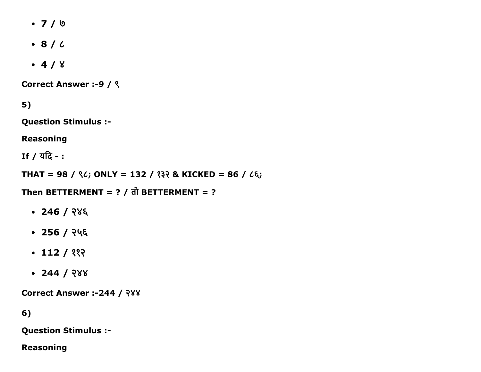- $-7/9$
- $\cdot$  8 /  $\prime$
- $-4/8$

Correct Answer :-9 / ९

5)

Question Stimulus :

Reasoning

If  $/$  यदि -:

THAT = 98 /  $\frac{6}{5}$ ; ONLY = 132 /  $\frac{32}{5}$  & KICKED = 86 /  $\frac{6}{5}$ ;

Then BETTERMENT =  $?$  /  $\overline{d}$  BETTERMENT =  $?$ 

- $-246 / 28$ ६
- $-256 / 245$
- $\cdot$  112 / ११२
- $-244 / 288$

Correct Answer :-244 / २४४

6)

Question Stimulus :

Reasoning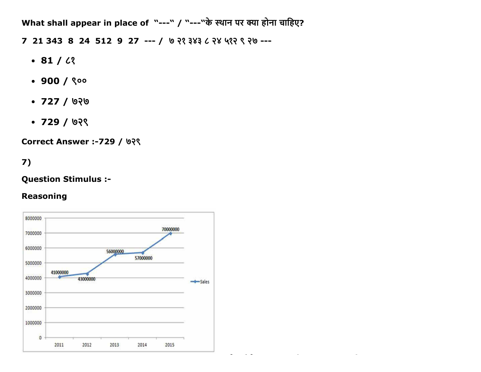What shall appear in place of "---" / "---"के स्थान पर क्या होना चाहिए?

7 21 343 8 24 512 9 27 --- / ७२१ ३४३ ८२४ ५१२ ९२७ ---

- $-81/2$
- $.900 / 800$
- $\cdot$  727 / ७२७
- $\cdot$  729 / ७२९

**Correct Answer :- 729 / ७२९** 

# $7)$

#### **Question Stimulus :-**

#### **Reasoning**

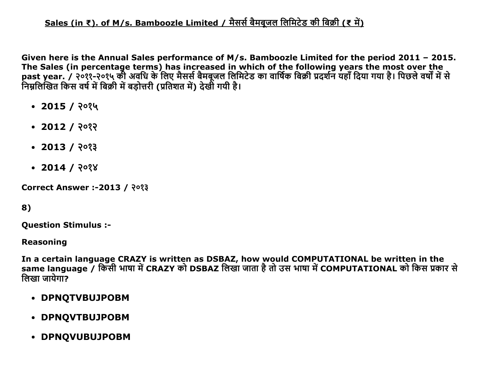# Sales (in ₹). of M/s. Bamboozle Limited / मैसर्स बैमबजल लिमिटेड की बिक्री (₹ में)

Given here is the Annual Sales performance of M/s. Bamboozle Limited for the period 2011 – 2015. The Sales (in percentage terms) has increased in which of the following years the most over the past year. / २०११-२०१५ की अवधि के लिए मैसर्स बेमबूजल लिमिटेड का वार्षिक बिक्री प्रदर्शन यहा दिया गया है। पिछले वर्षों में से निम्नलिखित किस वर्ष में बिक्री में बडोत्तरी (प्रतिशत में) देखी गयी है।

- $\cdot$  2015 / २०१५
- $-2012/202$
- $\cdot$  2013 / २०१३
- $\cdot$  2014 / २०१४

Correct Answer :-2013 / २०१३

## 8)

Question Stimulus :

#### Reasoning

In a certain language CRAZY is written as DSBAZ, how would COMPUTATIONAL be written in the same language / किसी भाषा में CRAZY को DSBAZ लिखा जाता है तो उस भाषा में COMPUTATIONAL को किस प्रकार से लिखा जायेगा $\overline{?}$ 

- DPNQTVBUJPOBM
- DPNQVTBUJPOBM
- DPNQVUBUJPOBM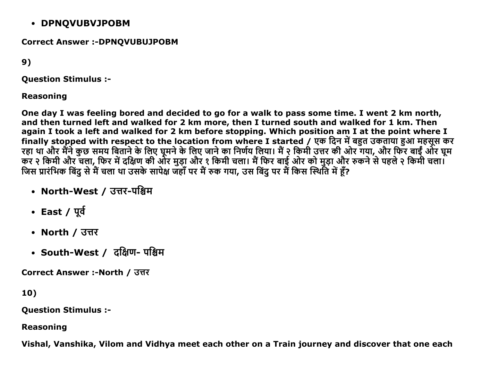## DPNQVUBVJPOBM

## Correct Answer :- DPNOVUBUJPOBM

9)

Question Stimulus :

### Reasoning

One day I was feeling bored and decided to go for a walk to pass some time. I went 2 km north, and then turned left and walked for 2 km more, then I turned south and walked for 1 km. Then again I took a left and walked for 2 km before stopping. Which position am I at the point where I finally stopped with respect to the location from where I started / एक दिन में बहुत उकताया हुआ महसूस कर रहा था और मैंने कुछ समय बिताने के लिए घूमने के लिए जाने का निर्णय लिया। मै २ किमी उत्तर की ओर गया, और फिर बाईं और घूम कर २ किमी और चला, फिर में दक्षिण की ओर मुड़ा और १ किमी चला। मैं फिर बाई और को मुड़ा और रुकने से पहले २ किमी चला। जिस प्रारंभिक बिंदु से में चला था उसके सार्पक्ष जहां पर में रुक गया, उस बिंदु पर में किस स्थिति में हूं?

- North-West / उत्तर-पश्चिम
- $\cdot$  East /  $\Psi$
- North / उत्तर
- South-West / दक्षिण- पश्चिम

Correct Answer :-North / उत्तर

10)

Question Stimulus :

Reasoning

Vishal, Vanshika, Vilom and Vidhya meet each other on a Train journey and discover that one each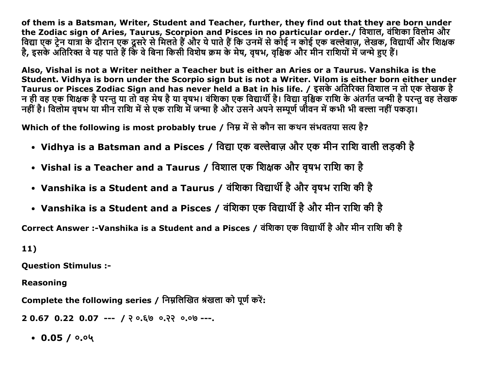of them is a Batsman, Writer, Student and Teacher, further, they find out that they are born under the Zodiac sign of Aries, Taurus, Scorpion and Pisces in no particular order./ विशाल, वंशिका विलोम और विद्या एक ट्रेन यात्रा के दौरान एक दूसरे से मिलते हैं और ये पाते हैं कि उनमें से कोई न कोई एक बल्लेबाज़, लेखक, विद्यार्थी और शिक्षक है, इसके अंतिरिक्त वे यह पाते हैं कि वे बिना किसी विशेष क्रम के मेष, वृषभ, वृश्चिक और मीन राशियों में जन्मे हुए हैं।

Also, Vishal is not a Writer neither a Teacher but is either an Aries or a Taurus. Vanshika is the Student. Vidhya is born under the Scorpio sign but is not a Writer. Vilom is either born either under Taurus or Pisces Zodiac Sign and has never held a Bat in his life. / इसके अतिरिक्त विशाल न तो एक लेखक है न ही वह एक शिक्षक है परन्तु या तो वह मेष है या वृषभ। वंशिका एक विद्यार्थी है। विद्या वृश्चिक राशि के अंतर्गत जन्मी है परन्तु वह लेखक नहीं है। विलोम वृषभ या मीन राशि में से एक राशि में जन्मा है और उसने अपने सम्पूर्ण जीवन में कभी भी बल्ला नहीं पकड़ा।

Which of the following is most probably true / निम्न में से कौन सा कथन संभवतया सत्य है?

- Vidhya is a Batsman and a Pisces / विद्या एक बल्लेबाज़ और एक मीन राशि वाली लड़की है
- Vishal is a Teacher and a Taurus / विशाल एक शिक्षक और वृषभ राशि का है
- Vanshika is a Student and a Taurus / वंशिका विद्यार्थी है और वृषभ राशि की है
- Vanshika is a Student and a Pisces / वंशिका एक विद्यार्थी है और मीन राशि की है

Correct Answer :-Vanshika is a Student and a Pisces / वंशिका एक विद्यार्थी है और मीन राशि की है

 $11)$ 

**Question Stimulus :-**

**Reasoning** 

Complete the following series / निम्नलिखित श्रंखला को पूर्ण करें:

 $20.670.220.07$  --- / ? 0.60 0.22 0.00 ---

 $\cdot$  0.05 / 0.04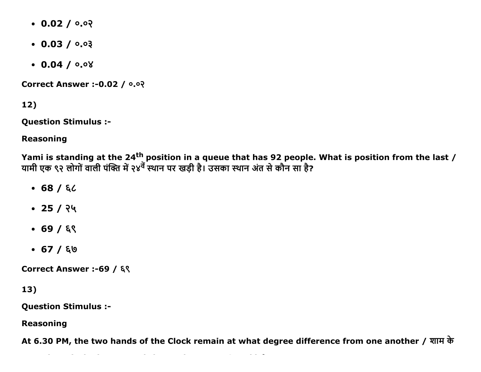- $0.02 / 0.02$
- $\cdot$  0.03 / 0.03
- $0.04 / 0.08$

**Correct Answer :- 0.02 / 0.0?** 

12)

**Question Stimulus :-**

**Reasoning** 

Yami is standing at the 24<sup>th</sup> position in a queue that has 92 people. What is position from the last / यामी एक ९२ लोगों वाली पंक्ति में २४<sup>वें</sup> स्थान पर खड़ी है। उसका स्थान अंत से कौन सा है?

- $-68/62$
- $\cdot$  25 / २५
- $-69/69$
- $-67/60$

Correct Answer :-69 / ६९

13)

**Question Stimulus :-**

**Reasoning** 

At 6.30 PM, the two hands of the Clock remain at what degree difference from one another / शाम के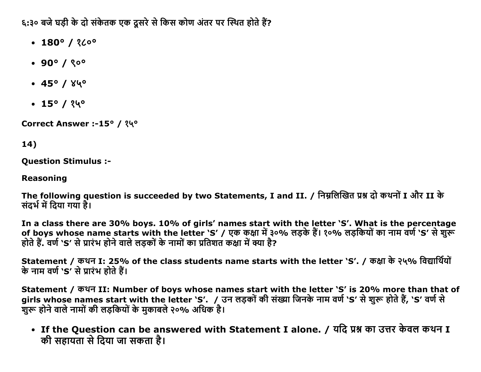६:३० बजे घडी के दो संकेतक एक दूसरे से किस कोण अंतर पर स्थित होते हैं?

- $\cdot$  180° / ? $\mathcal{L}^{\circ}$
- $.90^{\circ}$  / ? $0^{\circ}$
- $-45°/84°$
- $\cdot$  15° / ?4°

Correct Answer :-15° / १५°

# 14)

**Question Stimulus :-**

**Reasoning** 

The following question is succeeded by two Statements, I and II. / निम्नलिखित प्रश्न दो कथनों I और II के संदर्भ में दिया गया है।

In a class there are 30% boys. 10% of girls' names start with the letter `S'. What is the percentage of boys whose name starts with the letter `S' / एक कक्षा में ३०% लड़के हैं। १०% लड़कियों का नाम वर्ण `S' से शुरू होते हैं. वर्ण `S' से प्रारंभ होने वाले लड़कों के नामों का प्रतिशत कक्षा में क्या है?

Statement / कथन I: 25% of the class students name starts with the letter `S'. / कक्षा के २५% विद्यार्थियों के नाम वर्ण `S' से प्रारंभ होते हैं।

Statement / कथन II: Number of boys whose names start with the letter 'S' is 20% more than that of girls whose names start with the letter `S'. / उन लड़कों की संख्या जिनके नाम वर्ण `S' से शुरू होते हैं, `S' वर्ण से शुरू होने वाले नामों की लड़कियों के मुकाबले २०% अधिक है।

• If the Question can be answered with Statement I alone. / यदि प्रश्न का उत्तर केवल कथन I की सहायता से दिया जा सकता है।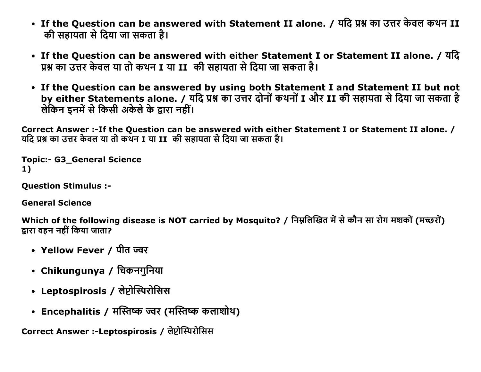- If the Question can be answered with Statement II alone. / यदि प्रश्न का उत्तर केवल कथन II की सहायता से दिया जा सकता है।
- If the Question can be answered with either Statement I or Statement II alone. / यदि प्रश्न का उत्तर केवल या तो कथन I या II की सहायता से दिया जा सकता है।
- If the Question can be answered by using both Statement I and Statement II but not by either Statements alone. / यदि प्रश्न का उत्तर दोनों कथनों I और II की सहायता से दिया जा सकता है लेकिन इनमें से किसी अकेले के द्वारा नहीं।

Correct Answer :- If the Question can be answered with either Statement I or Statement II alone. / यदि प्रश्न का उत्तर केवल या तो कथन I या II की सहायता से दिया जा सकता है।

**Topic:- G3 General Science** 1)

**Ouestion Stimulus :-**

**General Science** 

Which of the following disease is NOT carried by Mosquito? / निम्नलिखित में से कौन सा रोग मशकों (मच्छरों) द्वारा वहन नहीं किया जाता?

- Yellow Fever / पीत ज्वर
- Chikungunya / चिकनगुनिया
- Leptospirosis / लेप्टोस्पिरोसिस
- Encephalitis / मस्तिष्क ज्वर (मस्तिष्क कलाशोथ)

Correct Answer :-Leptospirosis / लेप्टोस्पिरोसिस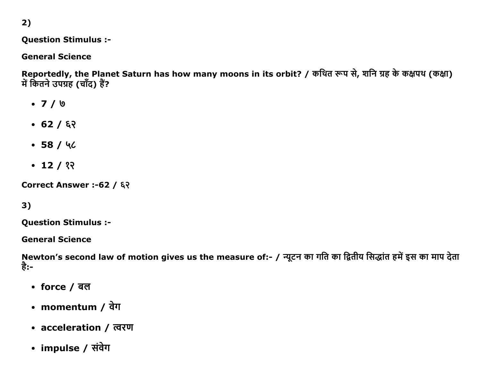2)

## **Question Stimulus :-**

## **General Science**

Reportedly, the Planet Saturn has how many moons in its orbit? / कथित रूप से, शनि ग्रह के कक्षपथ (कक्षा) में कितने उपग्रह (चाँद) हैं?

- $-7/9$
- $-62/62$
- $-58/40$
- $\cdot$  12 / १२

Correct Answer :- 62 / ६२

# $3)$

**Question Stimulus :-**

**General Science** 

Newton's second law of motion gives us the measure of:- / न्यूटन का गति का द्वितीय सिद्धांत हमें इस का माप देता है:-

- force / बल
- momentum / वेग
- acceleration / त्वरण
- impulse / संवेग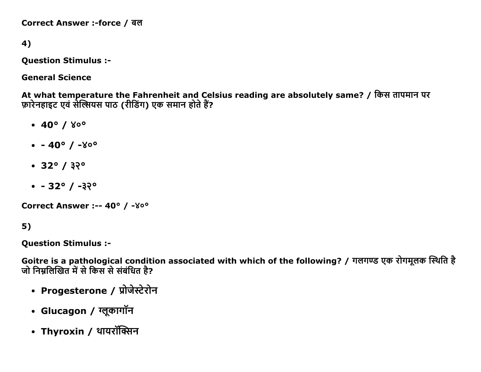Correct Answer :-force / बल

4)

**Question Stimulus :-**

**General Science** 

At what temperature the Fahrenheit and Celsius reading are absolutely same? / किस तापमान पर फ़ारेनहाइट एवं सेल्सियस पाठ (रीडिंग) एक समान होते हैं?

- $\cdot$  40° /  $80^{\circ}$
- $-40^{\circ}$  / -800
- $32^{\circ} / 32^{\circ}$
- $-32^{\circ}$  /  $-32^{\circ}$

Correct Answer :-- 40° / - ४०°

 $5)$ 

**Ouestion Stimulus :-**

Goitre is a pathological condition associated with which of the following? / गलगण्ड एक रोगमूलक स्थिति है जो निम्नलिखित में से किस से संबंधित है?

- Progesterone / प्रोजेस्टेरोन
- Glucagon / ग्लूकागॉन
- Thyroxin / थायरॉक्सिन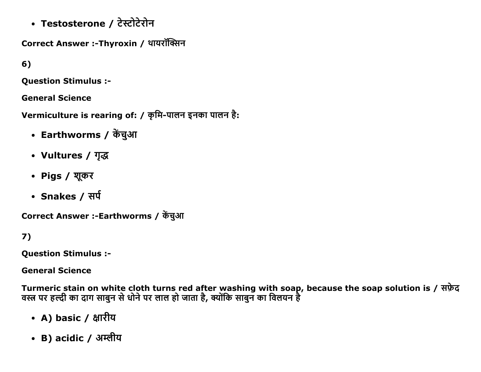• Testosterone / टेस्टोटेरोन

Correct Answer :-Thyroxin / थायरॉक्सिन

 $6)$ 

**Question Stimulus :-**

**General Science** 

Vermiculture is rearing of: / कृमि-पालन इनका पालन है:

- Earthworms / केंचुआ
- Vultures / गुद्ध
- Pigs / शूकर
- Snakes / सर्प

Correct Answer :-Earthworms / केंचुआ

 $7)$ 

**Question Stimulus :-**

**General Science** 

Turmeric stain on white cloth turns red after washing with soap, because the soap solution is / सफ़ेद<br>वस्त्र पर हल्दी का दाग साबुन से धोने पर लाल हो जाता है, क्योंकि साबुन का विलयन है

- A) basic / क्षारीय
- B) acidic / अम्लीय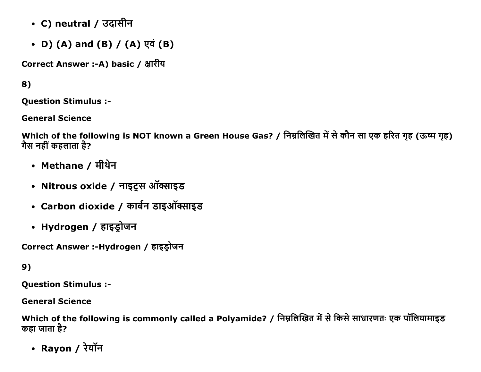- C) neutral / उदासीन
- D) (A) and (B) / (A)  $\nabla \vec{q}$  (B)

Correct Answer :-A) basic / क्षारीय

8)

**Question Stimulus :-**

**General Science** 

Which of the following is NOT known a Green House Gas? / निम्नलिखित में से कौन सा एक हरित गृह (ऊष्म गृह) गैस नहीं कहलाता है?

- Methane / मीथेन
- Nitrous oxide / नाइट्रस ऑक्साइड
- Carbon dioxide / कार्बन डाइऑक्साइड
- Hydrogen / हाइड्रोजन

Correct Answer :-Hydrogen / हाइड्रोजन

9)

**Question Stimulus :-**

**General Science** 

Which of the following is commonly called a Polyamide? / निम्नलिखित में से किसे साधारणतः एक पॉलियामाइड कहा जाता है?

• Rayon / रेयॉन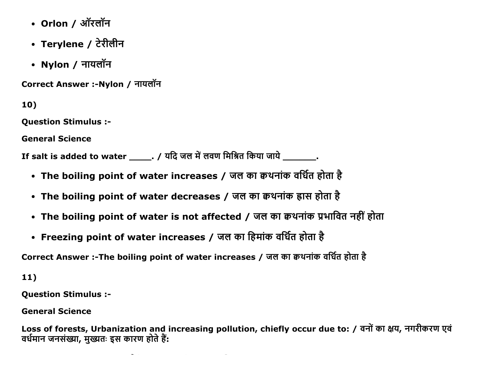- Orlon / ऑरलॉन
- Terylene / टेरीलीन
- Nylon / नायलॉन

Correct Answer :-Nylon / नायलॉन

10)

Question Stimulus :

General Science

If salt is added to water  $\frac{1}{\sqrt{2\pi}}$ . / यदि जल में लवण मिश्रित किया जाये  $\frac{1}{\sqrt{2\pi}}$ .

- The boiling point of water increases / जल का क्वथनांक वर्धित होता है
- The boiling point of water decreases / जल का कथनांक ह्रास होता है
- The boiling point of water is not affected / जल का क्वथनांक प्रभावित नहीं होता
- Freezing point of water increases / जल का हिमांक वर्धित होता है

Correct Answer :-The boiling point of water increases / जल का क्वथनांक वर्धित होता है

11)

Question Stimulus :

General Science

Loss of forests, Urbanization and increasing pollution, chiefly occur due to: / वनों का क्षय, नगरीकरण एवं वर्धमान जनसंख्या, मुख्यतः इस कारण होते हैं: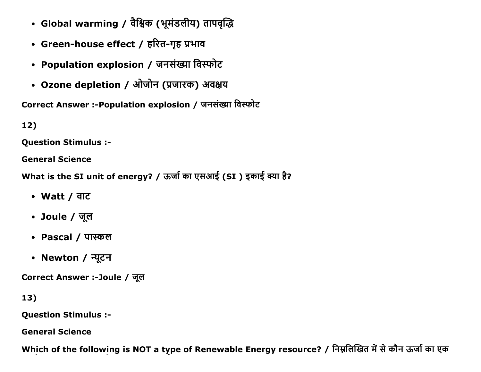- Global warming / वैश्विक (भूमंडलीय) तापवृद्धि
- Green-house effect / हरित-गृह प्रभाव
- Population explosion / जनसंख्या विस्फोट
- Ozone depletion / ओजोन (प्रजारक) अवक्षय

Correct Answer :- Population explosion / जनसंख्या विस्फोट

 $12)$ 

**Ouestion Stimulus :-**

**General Science** 

What is the SI unit of energy? / ऊर्जा का एसआई (SI) इकाई क्या है?

- Watt / वाट
- Joule / जूल
- Pascal / पास्कल
- Newton / न्यूटन

Correct Answer :-Joule / जूल

13)

**Question Stimulus :-**

**General Science** 

Which of the following is NOT a type of Renewable Energy resource? / निम्नलिखित में से कौन ऊर्जा का एक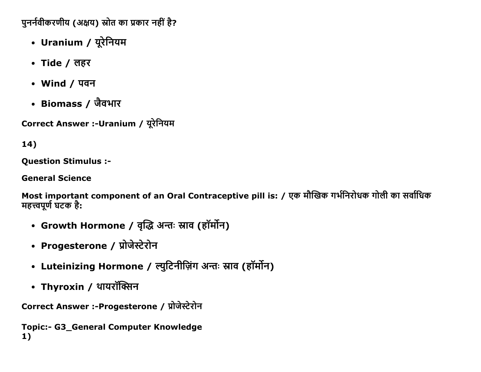पुनर्नवीकरणीय (अक्षय) स्रोत का प्रकार नहीं है?

- Uranium / यूरेनियम
- Tide / लहर
- Wind / पवन
- Biomass / जैवभार

Correct Answer :-Uranium / यूरेनियम

# $14)$

**Question Stimulus :-**

**General Science** 

Most important component of an Oral Contraceptive pill is: / एक मौखिक गर्भनिरोधक गोली का सर्वाधिक महत्त्वपूर्ण घटक है:

- Growth Hormone / वृद्धि अन्तः स्राव (हॉर्मोन)
- Progesterone / प्रोजेस्टेरोन
- Luteinizing Hormone / ल्युटिनीज़िंग अन्तः स्नाव (हॉर्मोन)
- Thyroxin / थायरॉक्सिन

Correct Answer :-Progesterone / प्रोजेस्टेरोन

**Topic:- G3\_General Computer Knowledge**  $1)$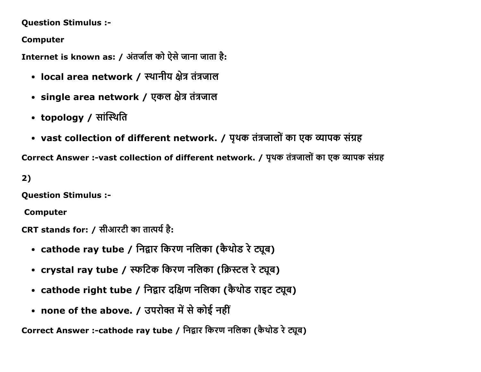Question Stimulus :

Computer

Internet is known as: / अंतर्जाल को ऐसे जाना जाता है:

- local area network / स्थानीय क्षेत्र तंत्रजाल
- single area network / एकल क्षेत्र तंत्रजाल
- topology / सांस्थिति
- vast collection of different network. / पृथक तंत्रजालों का एक व्यापक संग्रह

Correct Answer :-vast collection of different network. / पृथक तंत्रजालों का एक व्यापक संग्रह

2)

Question Stimulus :

Computer

CRT stands for: / सीआरटी का तात्पर्य है:

- cathode ray tube / निद्वार किरण नलिका (कैथोड रे ट्यूब)
- crystal ray tube / स्फटिक किरण नलिका (क्रिस्टल रे ट्यूब)
- cathode right tube / निद्वार दक्षिण नलिका (कैथोड राइट ट्यूब)
- none of the above. / उपरोक्त में से कोई नहीं

Correct Answer :-cathode ray tube / निद्वार किरण नलिका (कैथोड रे ट्यूब)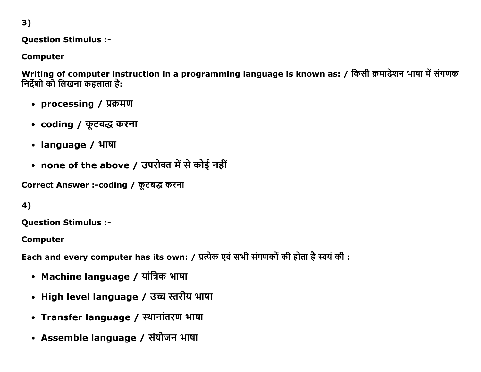3)

Question Stimulus :

Computer

Writing of computer instruction in a programming language is known as: / किसी क्रमादेशन भाषा में संगणक निर्देशों को लिखना कहलाता है:

- processing / प्रक्रमण
- coding / कूटबद्ध करना
- language / भाषा
- none of the above / उपरोक्त में से कोई नहीं

Correct Answer :-coding / कूटबद्ध करना

4)

Question Stimulus :

Computer

Each and every computer has its own: / प्रत्येक एवं सभी संगणकों की होता है स्वयं की :

- Machine language / यांत्रिक भाषा
- High level language / उच्च स्तरीय भाषा
- Transfer language / स्थानांतरण भाषा
- Assemble language / संयोजन भाषा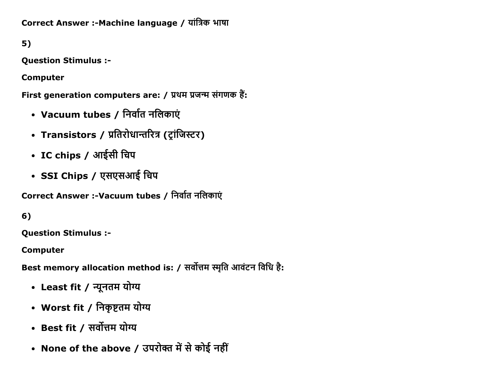Correct Answer :- Machine language / यांत्रिक भाषा

 $5)$ 

**Question Stimulus :-**

**Computer** 

First generation computers are: / प्रथम प्रजन्म संगणक हैं:

- Vacuum tubes / निर्वात नलिकाएं
- Transistors / प्रतिरोधान्तरित्र (ट्रांजिस्टर)
- IC chips / आईसी चिप
- SSI Chips / एसएसआई चिप

Correct Answer :-Vacuum tubes / निर्वात नलिकाएं

6)

**Question Stimulus :-**

**Computer** 

Best memory allocation method is: / सर्वोत्तम स्मृति आवंटन विधि है:

- Least fit / न्यूनतम योग्य
- Worst fit / निकृष्टतम योग्य
- Best fit / सर्वोत्तम योग्य
- None of the above / उपरोक्त में से कोई नहीं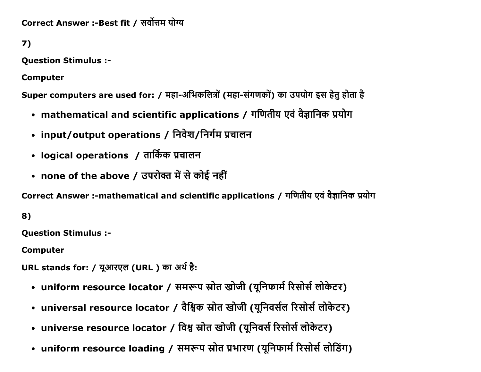Correct Answer :-Best fit / सर्वोत्तम योग्य

7)

Question Stimulus :

Computer

Super computers are used for: / महा-अभिकलित्रों (महा-संगणकों) का उपयोग इस हेतु होता है

- mathematical and scientific applications / गणितीय एवं वैज्ञानिक प्रयोग
- input/output operations / निवेश/निर्गम प्रचालन
- logical operations / तार्किक प्रचालन
- none of the above / उपरोक्त में से कोई नहीं

Correct Answer :-mathematical and scientific applications / गणितीय एवं वैज्ञानिक प्रयोग

8)

Question Stimulus :

Computer

URL stands for: / युआरएल (URL) का अर्थ है:

- uniform resource locator / समरूप स्रोत खोजी (यूनिफार्म रिसोर्स लोकेटर)
- universal resource locator / वैश्विक स्रोत खोजी (यूनिवर्सल रिसोर्स लोकेटर)
- universe resource locator / विश्व स्रोत खोजी (यूनिवर्स रिसोर्स लोकेटर)
- uniform resource loading / समरूप स्रोत प्रभारण (यूनिफार्म रिसोर्स लोडिंग)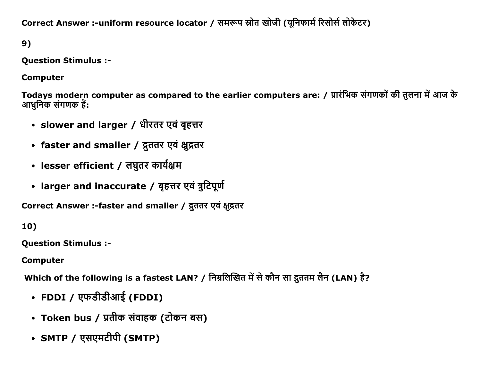Correct Answer :-uniform resource locator / समरूप स्रोत खोजी (युनिफार्म रिसोर्स लोकेटर)

9)

Question Stimulus :

Computer

Todays modern computer as compared to the earlier computers are: / प्रारंभिक संगणकों की तुलना में आज के आधुनिक संगणक हैं:

- slower and larger / धीरतर एवं बृहत्तर
- faster and smaller / द्रुततर एवं क्षुद्रतर
- lesser efficient / लघुतर कार्यक्षम
- larger and inaccurate / बृहत्तर एवं त्रुटिपूर्ण

Correct Answer :-faster and smaller / द्रुततर एवं क्षूद्रतर

10)

Question Stimulus :

Computer

Which of the following is a fastest LAN? / निम्नलिखित में से कौन सा द्रुततम लैन (LAN) है?

- FDDI / एफडीडीआई (FDDI)
- Token bus / प्रतीक संवाहक (टोकन बस)
- SMTP / एसएमटीपी (SMTP)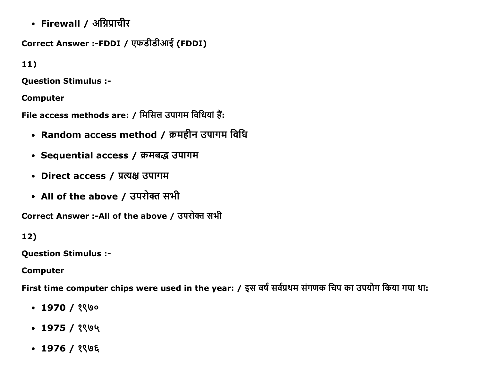• Firewall / अग्निप्राचीर

```
Correct Answer :-FDDI / एफडीडीआई (FDDI)
```
 $11)$ 

**Question Stimulus :-**

**Computer** 

File access methods are: / मिसिल उपागम विधियां हैं:

- Random access method / क्रमहीन उपागम विधि
- Sequential access / क्रमबद्ध उपागम
- Direct access / प्रत्यक्ष उपागम
- All of the above / उपरोक्त सभी

Correct Answer :-All of the above / उपरोक्त सभी

 $12)$ 

**Question Stimulus :-**

**Computer** 

First time computer chips were used in the year: / इस वर्ष सर्वप्रथम संगणक चिप का उपयोग किया गया था:

- $\cdot$  1970 / १९७०
- $\cdot$  1975 / १९७५
- $-1976/296$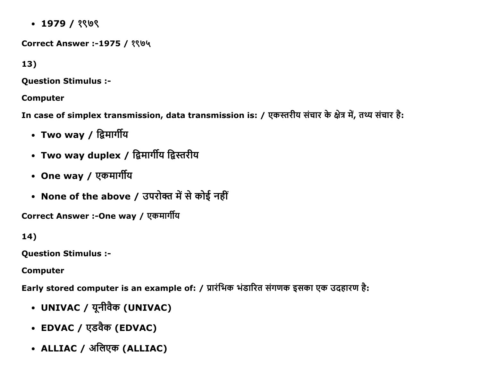$\cdot$  1979 / ?

Correct Answer :-1975 / १९७५

13)

Question Stimulus :

Computer

In case of simplex transmission, data transmission is: / एकस्तरीय संचार के क्षेत्र में, तथ्य संचार है:

- Two way / द्विमार्गीय
- Two way duplex / द्विमार्गीय द्विस्तरीय
- One way / एकमार्गीय
- None of the above / उपरोक्त में से कोई नहीं

Correct Answer :-One way / एकमार्गीय

14)

Question Stimulus :

Computer

Early stored computer is an example of: / प्रारंभिक भंडारित संगणक इसका एक उदहारण है:

- UNIVAC / यूनीवैक (UNIVAC)
- EDVAC / एडवैक (EDVAC)
- ALLIAC / अलिएक (ALLIAC)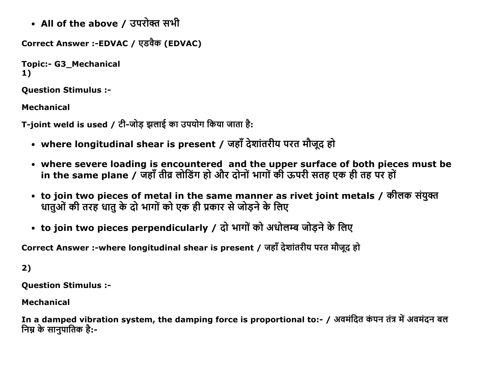• All of the above / उपरोक्त सभी

```
Correct Answer :-EDVAC / एडवैक (EDVAC)
```

```
Topic:- G3 Mechanical
1)
```
Question Stimulus :

Mechanical

T-ioint weld is used / टी-जोड झलाई का उपयोग किया जाता है:

- where longitudinal shear is present / जहाँ देशांतरीय परत मौजूद हो
- where severe loading is encountered and the upper surface of both pieces must be in the same plane / जहाँ तीव्र लोडिंग हो और दोनों भागों की ऊपरी सतह एक ही तह पर हों
- to join two pieces of metal in the same manner as rivet joint metals / कीलक संयुक्त धातुओं की तरह धातु के दो भागों को एक ही प्रकार से जोड़ने के लिए
- to join two pieces perpendicularly / दो भागों को अधोलम्ब जोड़ने के लिए

Correct Answer :-where longitudinal shear is present / जहाँ देशांतरीय परत मौजूद हो

2)

Question Stimulus :

Mechanical

In a damped vibration system, the damping force is proportional to:- / अवमंदित कंपन तंत्र में अवमंदन बल <u>निम्र के सानपातिक है:-</u>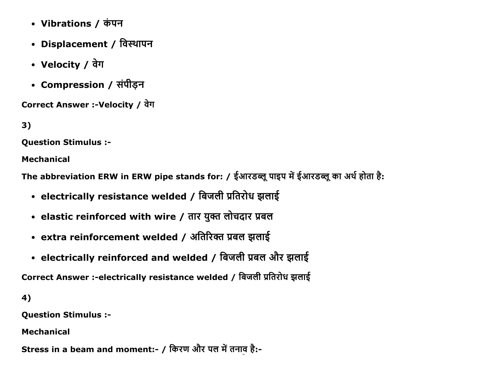- Vibrations / कंपन
- Displacement / विस्थापन
- Velocity / वेग
- Compression / संपीड़न

Correct Answer :-Velocity / वेग

```
3)
```
Question Stimulus :

Mechanical

The abbreviation ERW in ERW pipe stands for: / ईआरडब्लू पाइप में ईआरडब्लू का अर्थ होता है:

- electrically resistance welded / बिजली प्रतिरोध झलाई
- elastic reinforced with wire / तार युक्त लोचदार प्रबल
- extra reinforcement welded / अतिरिक्त प्रबल झलाई
- electrically reinforced and welded / बिजली प्रबल और झलाई

Correct Answer :-electrically resistance welded / बिजली प्रतिरोध झलाई

4)

Question Stimulus :

Mechanical

Stress in a beam and moment:- / किरण और पल में तनाव है:-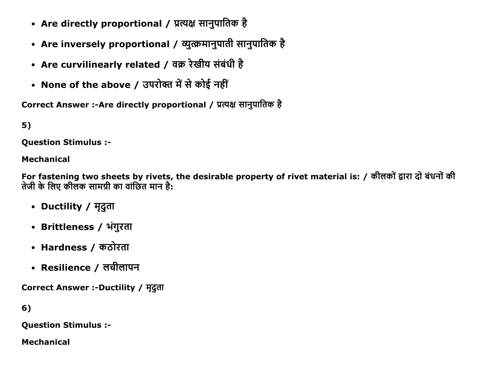- Are directly proportional / प्रत्यक्ष सानुपातिक है
- Are inversely proportional / व्युत्क्रमानुपाती सानुपातिक है
- Are curvilinearly related / वक्र रेखीय संबंधी है
- None of the above / उपरोक्त में से कोई नहीं

Correct Answer :-Are directly proportional / प्रत्यक्ष सानुपातिक है

 $5)$ 

**Ouestion Stimulus :-**

#### **Mechanical**

For fastening two sheets by rivets, the desirable property of rivet material is: / कीलकों द्वारा दो बंधनों की तेजी के लिए कीलक सामग्री का वांछित मान है:

- Ductility / मृदुता
- Brittleness / भंगुरता
- Hardness / कठोरता
- Resilience / लचीलापन

Correct Answer :-Ductility / मृदुता

 $6)$ 

**Question Stimulus :-**

**Mechanical**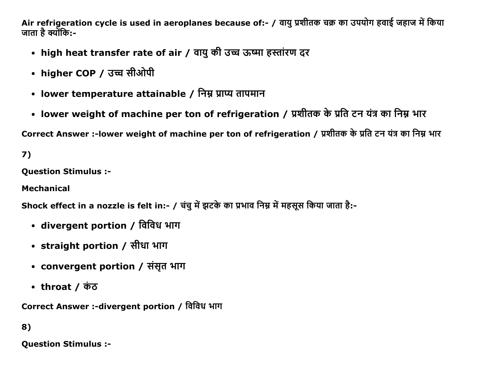Air refrigeration cycle is used in aeroplanes because of:- / वायु प्रशीतक चक्र का उपयोग हवाई जहाज में किया जाता है क्योंकि:-

- high heat transfer rate of air / वायु की उच्च ऊष्मा हस्तांरण दर
- higher COP / उच्च सीओपी
- lower temperature attainable / निम्न प्राप्य तापमान
- lower weight of machine per ton of refrigeration / प्रशीतक के प्रति टन यंत्र का निम्न भार

Correct Answer :-lower weight of machine per ton of refrigeration / प्रशीतक के प्रति टन यंत्र का निम्न भार

 $7)$ 

**Ouestion Stimulus :-**

**Mechanical** 

Shock effect in a nozzle is felt in:- / चंचु में झटके का प्रभाव निम्न में महसूस किया जाता है:-

- divergent portion / विविध भाग
- straight portion / सीधा भाग
- convergent portion / संसृत भाग
- throat / कंठ

Correct Answer :-divergent portion / विविध भाग

## 8)

**Ouestion Stimulus :-**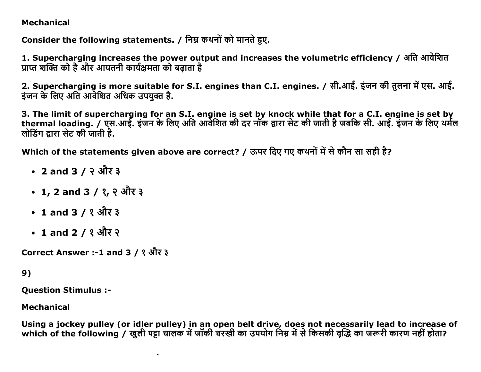### **Mechanical**

Consider the following statements. / निम्न कथनों को मानते हए.

1. Supercharging increases the power output and increases the volumetric efficiency / अति आवेशित प्राप्त शक्ति को है और आयतनी कार्यक्षमता को बढाता है

2. Supercharging is more suitable for S.I. engines than C.I. engines. / सी.आई. इंजन की तुलना में एस. आई. इंजन के लिए अति आवेशित अधिक उपयक्त है.

3. The limit of supercharging for an S.I. engine is set by knock while that for a C.I. engine is set by thermal loading. / एस.आई. इंजन के लिए अति आर्वेशित की दर नॉक द्वारा सेट की जाती है जबकि सी. आई. इंजन के लिए थर्मल लोडिंग द्रारा सेट की जाती है.

Which of the statements given above are correct? / ऊपर दिए गए कथनों में से कौन सा सही है?

- 2 and 3 / २ और ३
- 1, 2 and 3 / १, २ और ३
- 1 and 3 / १ और ३
- 1 and 2 / १ और २

Correct Answer :-1 and 3 / १ और ३

## 9)

**Ouestion Stimulus :-**

**Mechanical** 

Using a jockey pulley (or idler pulley) in an open belt drive, does not necessarily lead to increase of which of the following / खली पट्टा चालक में जॉकी चरखी का उपयोग निम्न में से किसकी वद्धि का जरूरी कारण नहीं होता?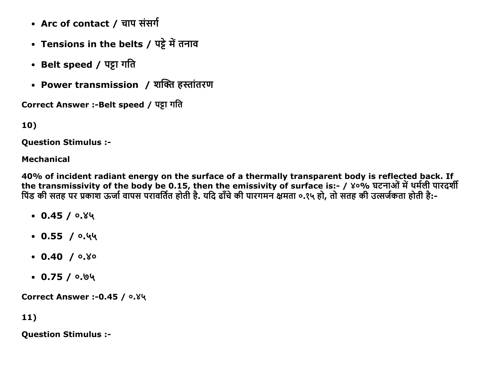- Arc of contact / चाप संसर्ग
- Tensions in the belts / पट्टे में तनाव
- Belt speed / पट्टा गति
- Power transmission / शक्ति हस्तांतरण

Correct Answer :-Belt speed / पट्टा गति

10)

Question Stimulus :

### Mechanical

40% of incident radiant energy on the surface of a thermally transparent body is reflected back. If the transmissivity of the body be 0.15, then the emissivity of surface is:- / ४०% घटनाओं में थर्मली पारदर्शी पिंड की सतह पर प्रकाश ऊर्जा वापस परावर्तित होती है. यदि ढाँचे की पारगमन क्षमता ०.१५ हो, तो सतह की उत्सर्जकता होती है:-

- $0.45 / 0.89$
- $0.55 / 0.44$
- $0.40 / 0.80$
- $0.75 / 0.04$

Correct Answer :- 0.45 /  $0.84$ 

11)

Question Stimulus :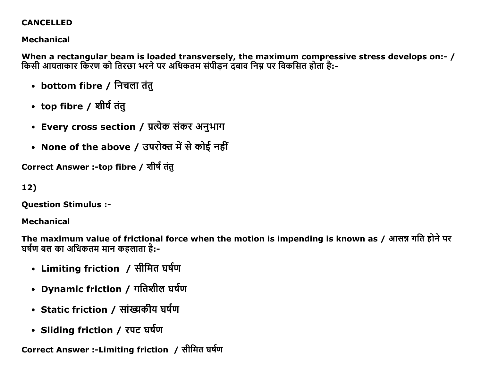## **CANCELLED**

## **Mechanical**

When a rectangular beam is loaded transversely, the maximum compressive stress develops on:- / किसी आयताकार किरण को तिरछा भरने पर अधिकतम संपीडन दंबाव निम्न पर विकसित होता है:-

- bottom fibre / निचला तंतु
- top fibre / शीर्ष तंतु
- Every cross section / प्रत्येक संकर अनुभाग
- None of the above / उपरोक्त में से कोई नहीं

Correct Answer :-top fibre / शीर्ष तंत्

# 12)

**Question Stimulus :-**

## **Mechanical**

The maximum value of frictional force when the motion is impending is known as / आसन्न गति होने पर घर्षण बल का अधिकतम मान कहलाता है:-

- Limiting friction / सीमित घर्षण
- Dynamic friction / गतिशील घर्षण
- Static friction / सांख्यकीय घर्षण
- Sliding friction / रपट घर्षण

Correct Answer :-Limiting friction / सीमित घर्षण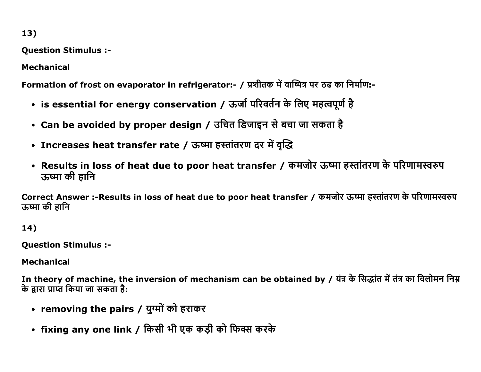**Question Stimulus :-**

**Mechanical** 

Formation of frost on evaporator in refrigerator:- / प्रशीतक में वाष्पित्र पर ठढ का निर्माण:-

- is essential for energy conservation / ऊर्जा परिवर्तन के लिए महत्वपूर्ण है
- Can be avoided by proper design / उचित डिजाइन से बचा जा सकता है
- Increases heat transfer rate / ऊष्मा हस्तांतरण दर में वृद्धि
- Results in loss of heat due to poor heat transfer / कमजोर ऊष्मा हस्तांतरण के परिणामस्वरुप ऊष्मा की हानि

Correct Answer :-Results in loss of heat due to poor heat transfer / कमजोर ऊष्मा हस्तांतरण के परिणामस्वरुप ऊष्मा की हानि

 $14)$ 

**Question Stimulus :-**

**Mechanical** 

In theory of machine, the inversion of mechanism can be obtained by / यंत्र के सिद्धांत में तंत्र का विलोमन निम के द्रारा प्राप्त किया जा सकता है:

- removing the pairs / युग्मों को हराकर
- fixing any one link / किसी भी एक कड़ी को फिक्स करके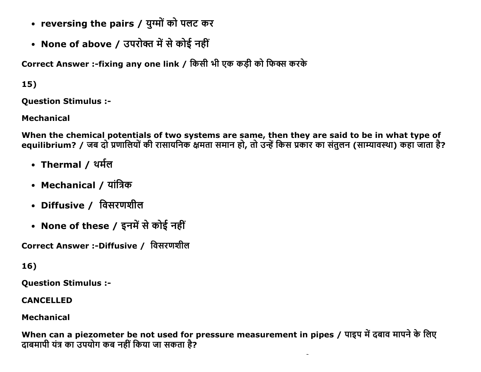- reversing the pairs / युग्मों को पलट कर
- None of above / उपरोक्त में से कोई नहीं

Correct Answer :-fixing any one link / किसी भी एक कड़ी को फिक्स करके

 $15)$ 

**Ouestion Stimulus :-**

**Mechanical** 

When the chemical potentials of two systems are same, then they are said to be in what type of equilibrium? / जब दो प्रणालियों की रासायनिक क्षमता समान हो, तो उन्हें किस प्रकार का संतुलन (साम्यावस्था) कहा जाता है?

- Thermal / थर्मल
- Mechanical / यांत्रिक
- Diffusive / विसरणशील
- None of these / इनमें से कोई नहीं

Correct Answer :-Diffusive / विसरणशील

16)

**Question Stimulus :-**

**CANCELLED** 

**Mechanical** 

When can a piezometer be not used for pressure measurement in pipes / पाइप में दबाव मापने के लिए दाबमापी यंत्र का उपयोग कब नहीं किया जा सकता है?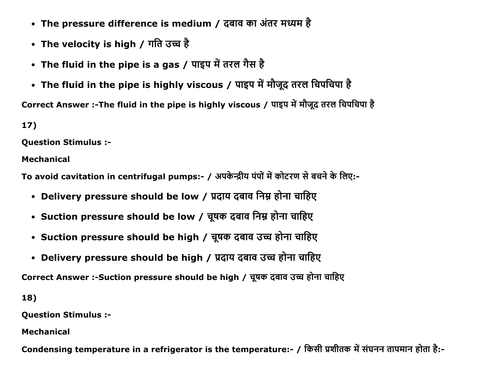- The pressure difference is medium / दबाव का अंतर मध्यम है
- The velocity is high / गति उच्च है
- The fluid in the pipe is a gas / पाइप में तरल गैस है
- The fluid in the pipe is highly viscous / पाइप में मौजूद तरल चिपचिपा है

Correct Answer :-The fluid in the pipe is highly viscous / पाइप में मौजूद तरल चिपचिपा है

17)

Question Stimulus :

Mechanical

To avoid cavitation in centrifugal pumps:- / अपकेन्द्रीय पंपों में कोटरण से बचने के लिए:-

- Delivery pressure should be low / प्रदाय दबाव निम्न होना चाहिए
- Suction pressure should be low / चूषक दबाव निम्न होना चाहिए
- Suction pressure should be high / चूषक दबाव उच्च होना चाहिए
- Delivery pressure should be high / प्रदाय दबाव उच्च होना चाहिए

Correct Answer :-Suction pressure should be high / चूषक दबाव उच्च होना चाहिए

18)

Question Stimulus :

Mechanical

Condensing temperature in a refrigerator is the temperature:- / किसी प्रशीतक में संघनन तापमान होता है:-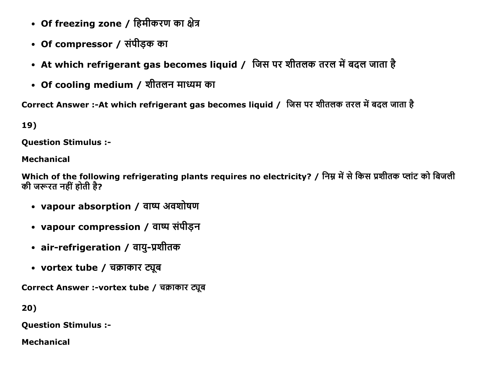- Of freezing zone / हिमीकरण का क्षेत्र
- Of compressor / संपीड़क का
- At which refrigerant gas becomes liquid / जिस पर शीतलक तरल में बदल जाता है
- Of cooling medium / शीतलन माध्यम का

Correct Answer :-At which refrigerant gas becomes liquid / जिस पर शीतलक तरल में बदल जाता है

19)

Question Stimulus :

Mechanical

Which of the following refrigerating plants requires no electricity? / निम्न में से किस प्रशीतक प्लांट को बिजली की जरूरत नहीं होती है?

- vapour absorption / वाष्प अवशोषण
- vapour compression / वाष्प संपीड़न
- air-refrigeration / वायु-प्रशीतक
- vortex tube / चक्राकार ट्यूब

Correct Answer :-vortex tube / चक्राकार ट्यूब

20)

Question Stimulus :

Mechanical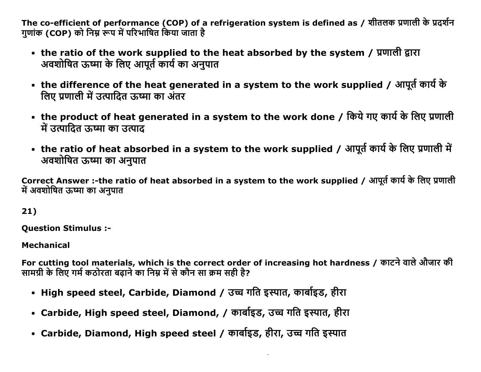The co-efficient of performance (COP) of a refrigeration system is defined as / शीतलक प्रणाली के प्रदर्शन गणांक (COP) को निम्न रूप में परिभाषित किया जाता है

- the ratio of the work supplied to the heat absorbed by the system / प्रणाली द्वारा अवशोषित ऊष्मा के लिए आपूर्त कार्य का अनुपात
- the difference of the heat generated in a system to the work supplied / आपूर्त कार्य के लिए प्रणाली में उत्पादित ऊष्मा का अंतर
- the product of heat generated in a system to the work done / किये गए कार्य के लिए प्रणाली में उत्पादित ऊष्मा का उत्पाद
- the ratio of heat absorbed in a system to the work supplied / आपूर्त कार्य के लिए प्रणाली में अवशोषित ऊष्मा का अनुपात

Correct Answer :-the ratio of heat absorbed in a system to the work supplied / आपूर्त कार्य के लिए प्रणाली में अवशोषित ऊष्मा का अनपात

 $21)$ 

**Ouestion Stimulus :-**

**Mechanical** 

For cutting tool materials, which is the correct order of increasing hot hardness / काटने वाले औजार की सामग्री के लिए गर्म कठोरता बढ़ाने का निम्न में से कौन सा क्रम सही है?

- High speed steel, Carbide, Diamond / उच्च गति इस्पात, कार्बाइड, हीरा
- Carbide, High speed steel, Diamond, / कार्बाइड, उच्च गति इस्पात, हीरा
- Carbide, Diamond, High speed steel / कार्बाइड, हीरा, उच्च गति इस्पात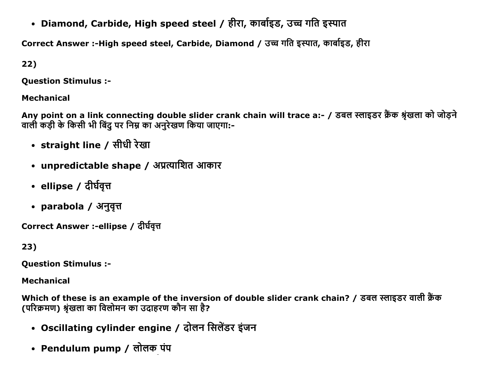• Diamond, Carbide, High speed steel / हीरा, कार्बाइड, उच्च गति इस्पात

Correct Answer :-High speed steel, Carbide, Diamond / उच्च गति इस्पात, कार्बाइड, हीरा

22)

Question Stimulus :

Mechanical

Any point on a link connecting double slider crank chain will trace a:- / डबल स्लाइडर क्रैंक श्रृंखला को जोड़ने वाली कडी के किसी भी बिंद पर निम्न का अनरेखण किया जाएगा:-

- straight line / सीधी रेखा
- unpredictable shape / अप्रत्याशित आकार
- ellipse / दीर्घवृत्त
- parabola / अनुवृत्त

Correct Answer :-ellipse / दीर्घवृत्त

23)

Question Stimulus :

Mechanical

Which of these is an example of the inversion of double slider crank chain? / डबल स्लाइडर वाली क्रैंक (परिक्रमण) श्रंखला का विलोमन का उदाहरण कौन सा है?

- Oscillating cylinder engine / दोलन सिलेंडर इंजन
- Pendulum pump / लोलक पंप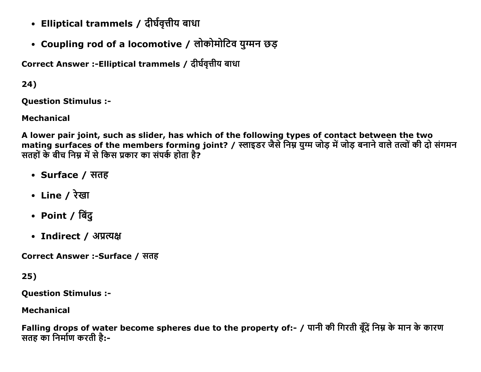- Elliptical trammels / दीर्घवृत्तीय बाधा
- Coupling rod of a locomotive / लोकोमोटिव युग्मन छड़

Correct Answer :-Elliptical trammels / दीर्घवृत्तीय बाधा

 $24)$ 

**Ouestion Stimulus :-**

**Mechanical** 

A lower pair joint, such as slider, has which of the following types of contact between the two mating surfaces of the members forming joint? / स्लाइडर जैसे निम्न युग्म जोड़ में जोड़ बनाने वाले तत्वों की दो संगमन सतहों के बीच निम्न में से किस प्रकार का संपर्क होता है?

- Surface / सतह
- Line / रेखा
- Point / बिंदु
- Indirect / अप्रत्यक्ष

Correct Answer :-Surface / सतह

 $25)$ 

**Question Stimulus :-**

**Mechanical** 

Falling drops of water become spheres due to the property of:- / पानी की गिरती बूँदें निम्न के मान के कारण सतह का निर्माण करती है:-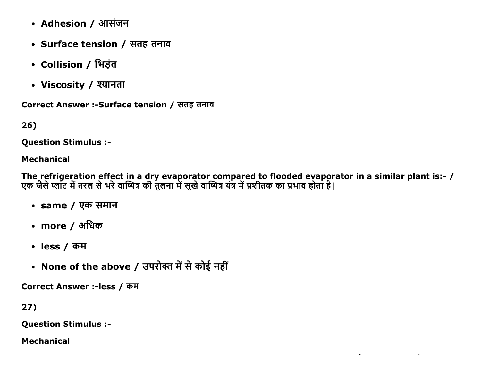- Adhesion / आसंजन
- Surface tension / सतह तनाव
- Collision / भिड़ंत
- Viscosity / श्यानता

Correct Answer :-Surface tension / सतह तनाव

 $26)$ 

**Ouestion Stimulus :-**

### **Mechanical**

The refrigeration effect in a dry evaporator compared to flooded evaporator in a similar plant is:- /<br>एक जैसे प्लांट में तरल से भरे वाष्पित्र की तुलना में सूखे वाष्पित्र यंत्र में प्रशीतक का प्रभाव होता है।

- same / एक समान
- more / अधिक
- less /  $\overline{q}$ म
- None of the above / उपरोक्त में से कोई नहीं

Correct Answer :-less / कम

 $27)$ 

**Question Stimulus :-**

**Mechanical**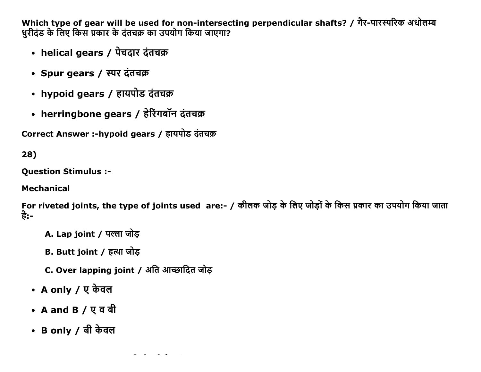Which type of gear will be used for non-intersecting perpendicular shafts? / गैर-पारस्परिक अधोलम्ब धुरीदंड के लिए किस प्रकार के दंतचक्र का उपयोग किया जाएगा?

- helical gears / पेचदार दंतचक्र
- Spur gears / स्पर दंतचक्र
- hypoid gears / हायपोड दंतचक्र
- herringbone gears / हेरिंगबॉन दंतचक्र

Correct Answer :-hypoid gears / हायपोड दंतचक्र

 $28)$ 

**Ouestion Stimulus :-**

**Mechanical** 

For riveted joints, the type of joints used are:- / कीलक जोड के लिए जोडों के किस प्रकार का उपयोग किया जाता है:-

- A. Lap joint / पल्ला जोड
- B. Butt joint / हत्था जोड़

C. Over lapping joint / अति आन्छादित जोड़

- A only / ए केवल
- A and B / एवबी
- B only / बी केवल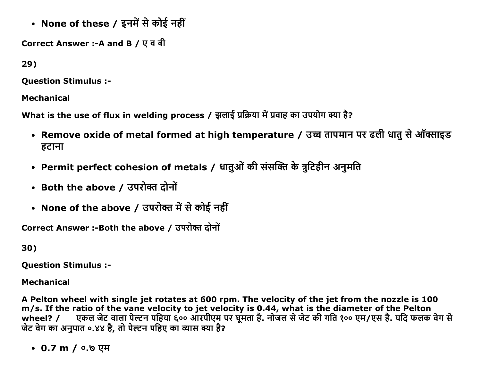• None of these / इनमें से कोई नहीं

Correct Answer :-A and B / एवबी

29)

**Ouestion Stimulus :-**

**Mechanical** 

What is the use of flux in welding process / झलाई प्रक्रिया में प्रवाह का उपयोग क्या है?

- Remove oxide of metal formed at high temperature / उच्च तापमान पर ढली धातु से ऑक्साइड हटाना
- Permit perfect cohesion of metals / धातुओं की संसक्ति के त्रुटिहीन अनुमति
- Both the above / उपरोक्त दोनों
- None of the above / उपरोक्त में से कोई नहीं

Correct Answer :-Both the above / उपरोक्त दोनों

30)

**Ouestion Stimulus :-**

**Mechanical** 

A Pelton wheel with single jet rotates at 600 rpm. The velocity of the jet from the nozzle is 100 m/s. If the ratio of the vane velocity to jet velocity is 0.44, what is the diameter of the Pelton एकल जेट वाला पेल्टन पहिया ६०० आरपीएम पर घुमता है. नोजल से जेट की गति १०० एम/एस है. यदि फलक वेग से wheel?  $\prime$ जेट वेग का अनुपांत ०.४४ है, तो पेल्टन पहिए का व्यास क्या है?

• 0.7 m /  $0.9$  एम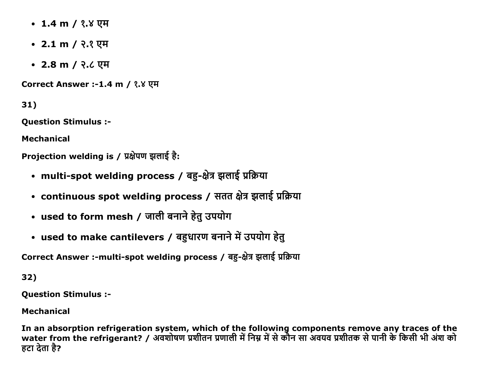- 1.4 m / १.४ एम
- 2.1 m / २.१ एम
- 2.8 m / २.८ एम

Correct Answer :-1.4 m / १.४ एम

31)

**Question Stimulus :-**

**Mechanical** 

Projection welding is / प्रक्षेपण झलाई है:

- multi-spot welding process / बहु-क्षेत्र झलाई प्रक्रिया
- continuous spot welding process / सतत क्षेत्र झलाई प्रक्रिया
- used to form mesh / जाली बनाने हेतु उपयोग
- used to make cantilevers / बहुधारण बनाने में उपयोग हेतु

Correct Answer :-multi-spot welding process / बहु-क्षेत्र झलाई प्रक्रिया

32)

**Question Stimulus :-**

**Mechanical** 

In an absorption refrigeration system, which of the following components remove any traces of the<br>water from the refrigerant? / अवशोषण प्रशीतन प्रणाली में निम्न में से कौन सा अवयव प्रशीतक से पानी के किसी भी अंश को हटा देता है?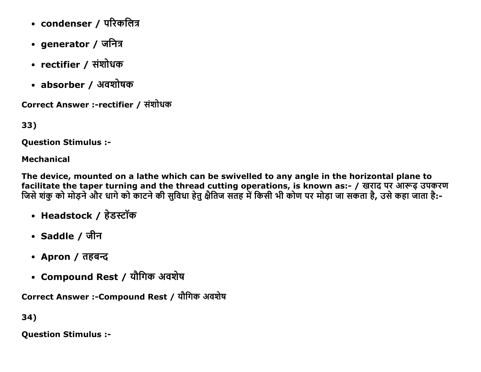- condenser / परिकलित्र
- generator / जनित्र
- rectifier / संशोधक
- absorber / अवशोषक

Correct Answer :-rectifier / संशोधक

33)

**Ouestion Stimulus :-**

### **Mechanical**

The device, mounted on a lathe which can be swivelled to any angle in the horizontal plane to facilitate the taper turning and the thread cutting operations, is known as:- / खराद पर आरूढ़ उपकरण जिसे शंकु को मोड़ने और धागे को काटने की सुविधा हेतु क्षैतिज सतह में किसी भी कोण पर मोड़ा जा सकता है, उसे कहा जाता है:-

- Headstock / हेडस्टॉक
- Saddle / जीन
- Apron / तहबन्द
- Compound Rest / यौगिक अवशेष

Correct Answer :-Compound Rest / यौगिक अवशेष

34)

**Question Stimulus :-**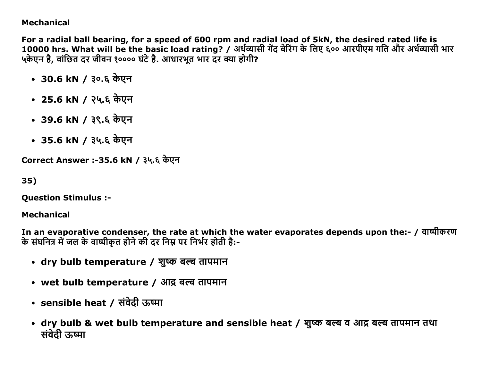### Mechanical

For a radial ball bearing, for a speed of 600 rpm and radial load of 5kN, the desired rated life is 10000 hrs. What will be the basic load rating? / अर्धव्यासी गेंद बेरिंग के लिए ६०० आरपीएम गति और अर्धव्यासी भार ५केएन है, वांछित दर जीवन १०००० घंटे है. आधारभूत भार दर क्या होगी?

- 30.6 kN / ३०.६ केएन
- 25.6 kN / २५.६ केएन
- 39.6 kN / ३९.६ केएन
- 35.6 kN / ३५.६ केएन

Correct Answer :-35.6 kN / ३५.६ केएन

35)

Question Stimulus :

Mechanical

In an evaporative condenser, the rate at which the water evaporates depends upon the:- / वाष्पीकरण के संघनित्र में जल के वाष्पीकत होने की दर निम्न पर निर्भर होती है:-

- dry bulb temperature / शुष्क बल्ब तापमान
- wet bulb temperature / आद्र बल्ब तापमान
- sensible heat / संवेदी ऊष्मा
- dry bulb & wet bulb temperature and sensible heat / शुष्क बल्ब व आद्र बल्ब तापमान तथा संवेदी ऊष्मा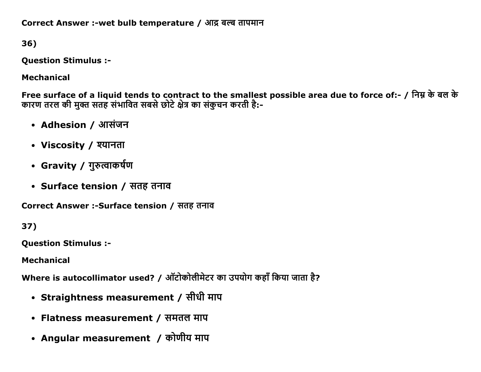Correct Answer :-wet bulb temperature / आद्र बल्ब तापमान

36)

**Question Stimulus :-**

**Mechanical** 

Free surface of a liquid tends to contract to the smallest possible area due to force of:- / निम्न के बल के कारण तरल की मुक्त सतह संभावित सबसे छोटे क्षेत्र का संकुचन करती है:-

- Adhesion / आसंजन
- Viscosity / श्यानता
- Gravity / गुरुत्वाकर्षण
- Surface tension / सतह तनाव

Correct Answer :-Surface tension / सतह तनाव

37)

**Ouestion Stimulus :-**

**Mechanical** 

Where is autocollimator used? / ऑटोकोलीमेटर का उपयोग कहाँ किया जाता है?

- Straightness measurement / सीधी माप
- Flatness measurement / समतल माप
- Angular measurement / कोणीय माप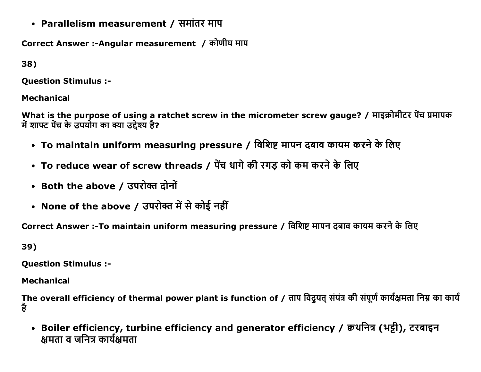• Parallelism measurement / समांतर माप

Correct Answer :-Angular measurement / कोणीय माप

38)

**Ouestion Stimulus :-**

**Mechanical** 

What is the purpose of using a ratchet screw in the micrometer screw gauge? / माइक्रोमीटर पेंच प्रमापक में शाफ्ट पेंच के उपयोग का क्या उद्देश्य है?

- To maintain uniform measuring pressure / विशिष्ट मापन दबाव कायम करने के लिए
- To reduce wear of screw threads / पेंच धागे की रगड़ को कम करने के लिए
- Both the above / उपरोक्त दोनों
- None of the above / उपरोक्त में से कोई नहीं

Correct Answer :-To maintain uniform measuring pressure / विशिष्ट मापन दबाव कायम करने के लिए

39)

**Question Stimulus :-**

**Mechanical** 

The overall efficiency of thermal power plant is function of / ताप विदुयत् संयंत्र की संपूर्ण कार्यक्षमता निम्न का कार्य है

• Boiler efficiency, turbine efficiency and generator efficiency / क्वथनित्र (भट्टी), टरबाइन क्षमता व जनित्र कार्यक्षमता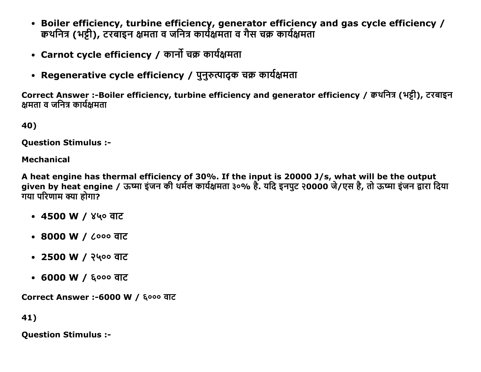- Boiler efficiency, turbine efficiency, generator efficiency and gas cycle efficiency / कथनित्र (भट्टी), टरबाइन क्षमता व जनित्र कार्यक्षमता व गैस चक्र कार्यक्षमता
- Carnot cycle efficiency / कार्नो चक्र कार्यक्षमता
- Regenerative cycle efficiency / पुनुरुत्पादुक चक्र कार्यक्षमता

Correct Answer :-Boiler efficiency, turbine efficiency and generator efficiency / कथनित्र (भट्री), टरबाइन क्षमता व जनित्र कार्यक्षमता

40)

**Ouestion Stimulus :-**

**Mechanical** 

A heat engine has thermal efficiency of 30%. If the input is 20000 J/s, what will be the output given by heat engine / ऊष्मा इंजन की थर्मल कार्यक्षमता ३०% है. यदि इनपुट २0000 जे/एस है, तो ऊष्मा इंजन द्वारा दिया गया परिणाम क्या होगा?

- 4500 W / ४५० वाट
- 8000 W / ८००० वाट
- 2500 W / २५०० वाट
- 6000 W / ६००० वाट

Correct Answer :-6000 W / ६००० वाट

41)

**Question Stimulus :-**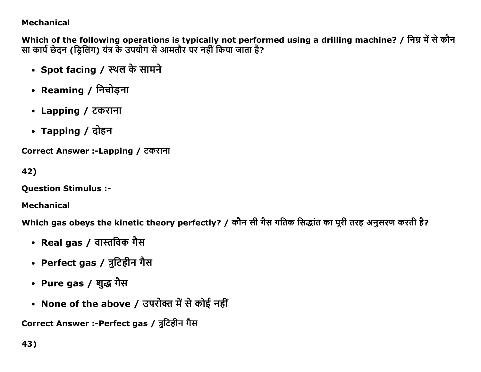## **Mechanical**

Which of the following operations is typically not performed using a drilling machine? / निम्न में से कौन सा कार्य छेदन (ड्रिलिंग) यंत्र के उपयोग से आमतौर पर नहीं किया जाता है?

- Spot facing / स्थल के सामने
- Reaming / निचोड़ना
- Lapping / टकराना
- Tapping / दोहन

Correct Answer :-Lapping / टकराना

```
42)
```
**Question Stimulus :-**

**Mechanical** 

Which gas obeys the kinetic theory perfectly? / कौन सी गैस गतिक सिद्धांत का पूरी तरह अनुसरण करती है?

- Real gas / वास्तविक गैस
- Perfect gas / त्रुटिहीन गैस
- Pure gas / शुद्ध गैस
- None of the above / उपरोक्त में से कोई नहीं

Correct Answer :-Perfect gas / त्रुटिहीन गैस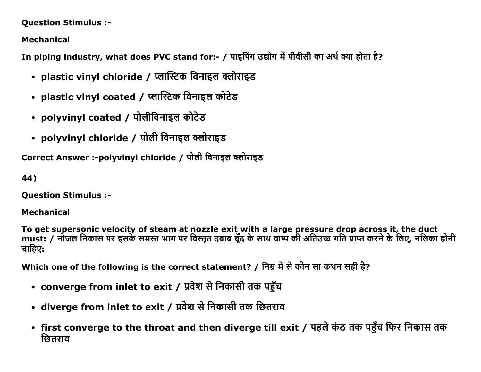#### **Question Stimulus :-**

**Mechanical** 

In piping industry, what does PVC stand for:- / पाइपिंग उद्योग में पीवीसी का अर्थ क्या होता है?

- plastic vinyl chloride / प्लास्टिक विनाइल क्लोराइड
- plastic vinyl coated / प्लास्टिक विनाइल कोटेड
- polyvinyl coated / पोलीविनाइल कोटेड
- polyvinyl chloride / पोली विनाइल क्लोराइड

Correct Answer :-polyvinyl chloride / पोली विनाइल क्लोराइड

44)

**Question Stimulus :-**

**Mechanical** 

To get supersonic velocity of steam at nozzle exit with a large pressure drop across it, the duct must: / नोजल निकास पर इसके समस्त भाग पर विस्तृत दबाब बूँद के साथ वाष्प की अतिउच्च गति प्राप्त करने के लिए, नलिका होनी चाहिए:

Which one of the following is the correct statement? / निम्न में से कौन सा कथन सही है?

- converge from inlet to exit / प्रवेश से निकासी तक पहुँच
- diverge from inlet to exit / प्रवेश से निकासी तक छितराव
- first converge to the throat and then diverge till exit / पहले कंठ तक पहुँच फिर निकास तक छितराव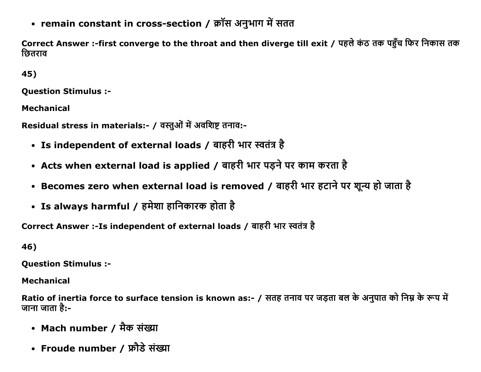• remain constant in cross-section / क्रॉस अनुभाग में सतत

Correct Answer :-first converge to the throat and then diverge till exit / पहले कंठ तक पहुँच फिर निकास तक छितराव

45)

**Ouestion Stimulus :-**

**Mechanical** 

Residual stress in materials:- / वस्तुओं में अवशिष्ट तनाव:-

- Is independent of external loads / बाहरी भार स्वतंत्र है
- Acts when external load is applied / बाहरी भार पड़ने पर काम करता है
- Becomes zero when external load is removed / बाहरी भार हटाने पर शून्य हो जाता है
- Is always harmful / हमेशा हानिकारक होता है

Correct Answer :- Is independent of external loads / बाहरी भार स्वतंत्र है

46)

**Ouestion Stimulus :-**

**Mechanical** 

Ratio of inertia force to surface tension is known as:- / सतह तनाव पर जड़ता बल के अनुपात को निम्न के रूप में जाना जाता है:-

- Mach number / मैक संख्या
- Froude number / फ्रौडे संख्या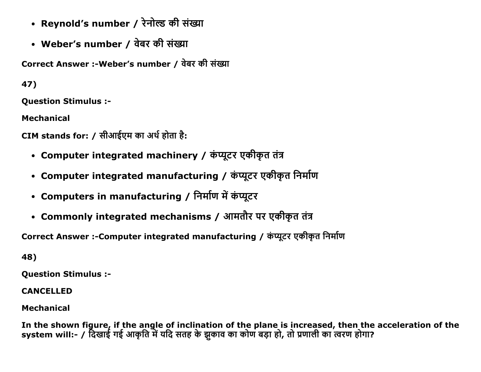- Reynold's number / रेनोल्ड की संख्या
- Weber's number / वेबर की संख्या

Correct Answer :-Weber's number / वेबर की संख्या

47)

**Ouestion Stimulus :-**

**Mechanical** 

CIM stands for: / सीआईएम का अर्थ होता है:

- Computer integrated machinery / कंप्यूटर एकीकृत तंत्र
- Computer integrated manufacturing / कंप्यूटर एकीकृत निर्माण
- Computers in manufacturing / निर्माण में कंप्यूटर
- Commonly integrated mechanisms / आमतौर पर एकीकृत तंत्र

Correct Answer :-Computer integrated manufacturing / कंप्यूटर एकीकृत निर्माण

48)

**Question Stimulus :-**

**CANCELLED** 

**Mechanical** 

In the shown figure, if the angle of inclination of the plane is increased, then the acceleration of the system will:- / दिखाई गई आकृति में यदि सतह के झुकाव का कोण बड़ा हो, तो प्रणाली का त्वरण होगा?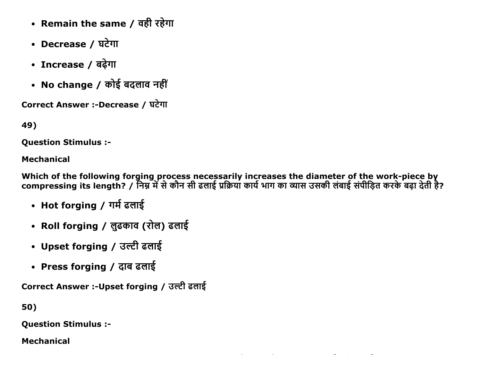- Remain the same / वही रहेगा
- Decrease / घटेगा
- Increase / बढ़ेगा
- No change / कोई बदलाव नहीं

Correct Answer :-Decrease / घटेगा

49)

**Question Stimulus :-**

#### **Mechanical**

Which of the following forging process necessarily increases the diameter of the work-piece by<br>compressing its length? / निम्न में से कौन सी ढलाई प्रक्रिया कार्य भाग का व्यास उसकी लंबाई संपीड़ित करके बढ़ा देती है?

- Hot forging / गर्म ढलाई
- Roll forging / लुढकाव (रोल) ढलाई
- Upset forging / उल्टी ढलाई
- Press forging / दाब ढलाई

Correct Answer :-Upset forging / उल्टी ढलाई

50)

**Question Stimulus :-**

**Mechanical**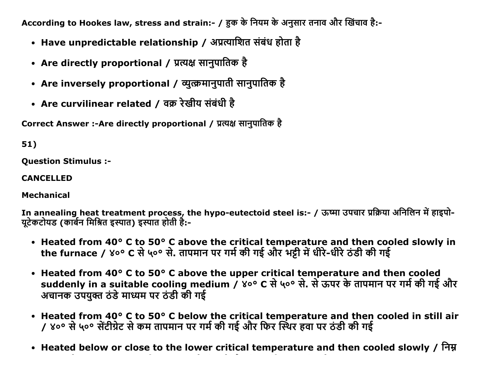According to Hookes law, stress and strain:- / हक के नियम के अनुसार तनाव और खिंचाव है:-

- Have unpredictable relationship / अप्रत्याशित संबंध होता है
- Are directly proportional / प्रत्यक्ष सानुपातिक है
- Are inversely proportional / व्युत्क्रमानुपाती सानुपातिक है
- Are curvilinear related / वक्र रेखीय संबंधी है

Correct Answer :-Are directly proportional / प्रत्यक्ष सानुपातिक है

51)

Question Stimulus :

CANCELLED

Mechanical

In annealing heat treatment process, the hypo-eutectoid steel is:- / ऊष्मा उपचार प्रक्रिया अनिलिन में हाइपो-युटेकटोयड (कार्बन मिश्रित इस्पात) इस्पात होती है:-

- Heated from 40° C to 50° C above the critical temperature and then cooled slowly in the furnace / ४०° C से ५०° से. तापमान पर गर्म की गई और भट्टी में धीरे-धीरे ठंडी की गई
- Heated from 40° C to 50° C above the upper critical temperature and then cooled suddenly in a suitable cooling medium / ४०° C से ५०° से. से ऊपर के तापमान पर गर्म की गई और अचानक उपयुक्त ठंडे माध्यम पर ठंडी की गई
- Heated from 40° C to 50° C below the critical temperature and then cooled in still air / ४०° से ५०° सेंटीग्रेट से कम तापमान पर गर्म की गई और फिर स्थिर हवा पर ठंडी की गई
- Heated below or close to the lower critical temperature and then cooled slowly / निम्न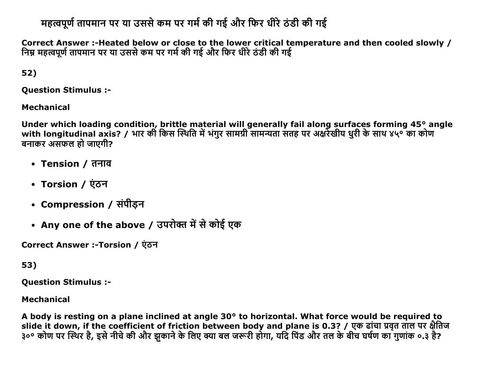# महत्वपूर्ण तापमान पर या उससे कम पर गर्म की गई और फिर धीरे ठंडी की गई

Correct Answer :-Heated below or close to the lower critical temperature and then cooled slowly / निम्न महत्वपूर्ण तापमान पर या उससे कम पर गर्म की गई और फिर धीरे ठंडी की गई

52)

**Question Stimulus :-**

**Mechanical** 

Under which loading condition, brittle material will generally fail along surfaces forming 45° angle with longitudinal axis? / भार की किस स्थिति में भंगुर सामग्री सामन्यता संतह पर अक्षर्रेखीय धुरी के साथ ४५° का कोण बनाकर असफल हो जाएगी?

- Tension / तनाव
- Torsion / एंठन
- Compression / संपीड़न
- Any one of the above / उपरोक्त में से कोई एक

Correct Answer :-Torsion / एंठन

53)

**Ouestion Stimulus :-**

**Mechanical** 

A body is resting on a plane inclined at angle 30° to horizontal. What force would be required to slide it down, if the coefficient of friction between body and plane is 0.3? / एक ढांचा प्रवृत ताल पर क्षैतिज ३०° कोण पर स्थिर है, इसे नीचे की और झकाने के लिए क्या बल जरूरी होगा, यदि पिंड और तल के बीच घर्षण का गुणांक ०.३ है?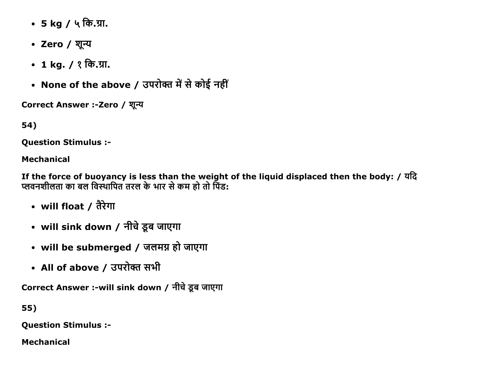- 5 kg / ५ कि.ग्रा.
- Zero / शून्य
- 1 kg. /  $?$  कि.ग्रा.
- None of the above / उपरोक्त में से कोई नहीं

Correct Answer :-Zero / शून्य

54)

Question Stimulus :

## Mechanical

If the force of buoyancy is less than the weight of the liquid displaced then the body: / यदि प्लवनशीलता का बल विस्थापित तरल के भार से कम हो तो पिंड:

- will float / तैरेगा
- will sink down / नीचे डूब जाएगा
- will be submerged / जलमग्न हो जाएगा
- All of above / उपरोक्त सभी

Correct Answer :-will sink down / नीचे डूब जाएगा

55)

Question Stimulus :

Mechanical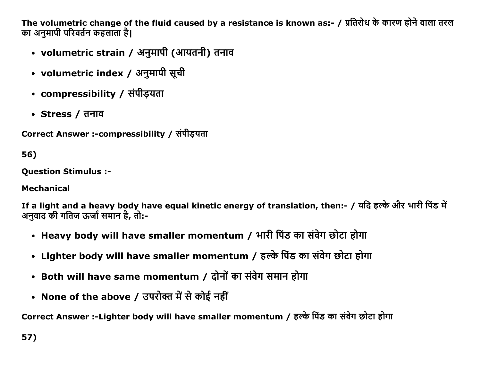The volumetric change of the fluid caused by a resistance is known as:- / प्रतिरोध के कारण होने वाला तरल का अनमापी परिवर्तन कहलाता है।

- volumetric strain / अनुमापी (आयतनी) तनाव
- volumetric index / अनुमापी सूची
- compressibility / संपीडयता
- Stress / तनाव

Correct Answer :-compressibility / संपीडयता

56)

**Ouestion Stimulus :-**

**Mechanical** 

If a light and a heavy body have equal kinetic energy of translation, then:- / यदि हल्के और भारी पिंड में अनुवाद की गतिज ऊर्जा समान है, तो:-

- Heavy body will have smaller momentum / भारी पिंड का संवेग छोटा होगा
- Lighter body will have smaller momentum / हल्के पिंड का संवेग छोटा होगा
- Both will have same momentum / दोनों का संवेग समान होगा
- None of the above / उपरोक्त में से कोई नहीं

Correct Answer :-Lighter body will have smaller momentum / हल्के पिंड का संवेग छोटा होगा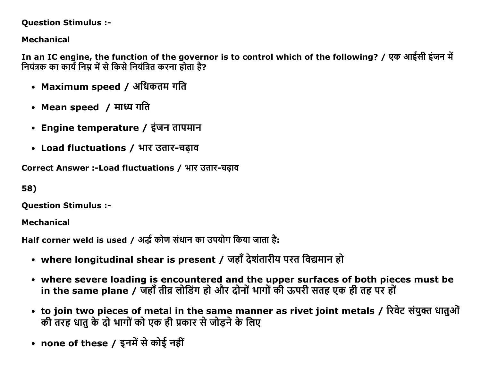### **Question Stimulus :-**

# **Mechanical**

In an IC engine, the function of the governor is to control which of the following? / एक आईसी इंजन में नियंत्रक का कार्य निम्न में से किसे नियंत्रित करना होता है?

- Maximum speed / अधिकतम गति
- Mean speed / माध्य गति
- Engine temperature / इंजन तापमान
- Load fluctuations / भार उतार-चढाव

Correct Answer :-Load fluctuations / भार उतार-चढ़ाव

58)

**Question Stimulus :-**

**Mechanical** 

Half corner weld is used / अर्द्ध कोण संधान का उपयोग किया जाता है:

- where longitudinal shear is present / जहाँ देशंतारीय परत विद्यमान हो
- where severe loading is encountered and the upper surfaces of both pieces must be in the same plane / जहाँ तीव्र लोडिंग हो और दोनों भागों की ऊपरी सतह एक ही तह पर हों
- to join two pieces of metal in the same manner as rivet joint metals / रिवेट संयुक्त धातुओं की तरह धातु के दो भागों को एक ही प्रकार से जोड़ने के लिए
- none of these / इनमें से कोई नहीं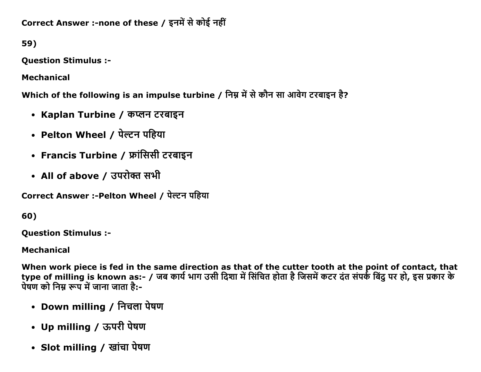Correct Answer :-none of these / इनमें से कोई नहीं

59)

**Question Stimulus :-**

**Mechanical** 

Which of the following is an impulse turbine / निम्न में से कौन सा आवेग टरबाइन है?

- Kaplan Turbine / कप्लन टरबाइन
- Pelton Wheel / पेल्टन पहिया
- Francis Turbine / फ्रांसिसी टरबाइन
- All of above / उपरोक्त सभी

Correct Answer :-Pelton Wheel / पेल्टन पहिया

60)

**Ouestion Stimulus :-**

**Mechanical** 

When work piece is fed in the same direction as that of the cutter tooth at the point of contact, that type of milling is known as:- / जब कार्य भाग उसी दिशा में सिंचित होता है जिसमें कटर दंत संपर्क बिंदु पर हो, इस प्रकार के पेषण को निम्न रूप में जाना जाता है:-

- Down milling / निचला पेषण
- Up milling / ऊपरी पेषण
- Slot milling / खांचा पेषण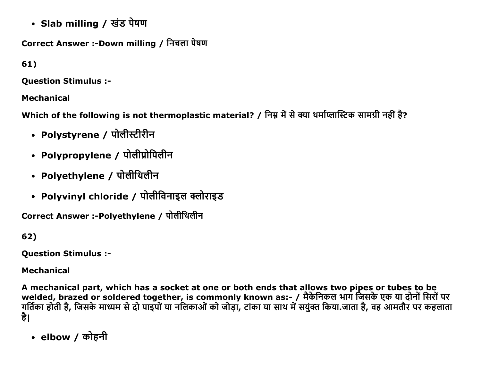• Slab milling / खंड पेषण

Correct Answer :-Down milling / निचला पेषण

 $61)$ 

**Ouestion Stimulus :-**

**Mechanical** 

Which of the following is not thermoplastic material? / निम्न में से क्या थर्माप्लास्टिक सामग्री नहीं है?

- Polystyrene / पोलीस्टीरीन
- Polypropylene / पोलीप्रोपिलीन
- Polyethylene / पोलीथिलीन
- Polyvinyl chloride / पोलीविनाइल क्लोराइड

Correct Answer :-Polyethylene / पोलीथिलीन

 $62)$ 

**Question Stimulus :-**

**Mechanical** 

A mechanical part, which has a socket at one or both ends that allows two pipes or tubes to be welded, brazed or soldered together, is commonly known as:- / मैकेनिकल भाग जिसके एक या दोनों सिरों पर गर्तिका होती है, जिसके माध्यम से दो पाइपों या नलिकाओं को जोड़ा, टांका या साथ में सयुक्त किया जाता है, वह आमतौर पर कहलाता है।

• elbow / कोहनी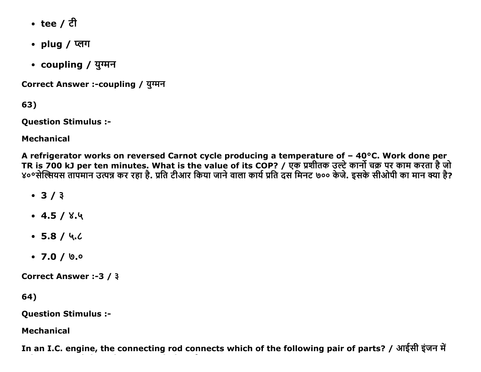- tee / ਟੀ
- plug / प्लग
- coupling / युग्मन

Correct Answer :- coupling / युग्मन

63)

**Question Stimulus :-**

**Mechanical** 

A refrigerator works on reversed Carnot cycle producing a temperature of - 40°C. Work done per TR is 700 kJ per ten minutes. What is the value of its COP? / एक प्रशीतक उल्टे कार्नो चक्र पर काम करता है जो ४०°सेल्सियस तापमान उत्पन्न कर रहा है. प्रति टीआर किया जाने वाला कार्य प्रति दस मिनट ७०० केजे. इसके सीओपी का मान क्या है?

- $3/3$
- $\cdot$  4.5 / 8.4
- $-5.8/4.6$
- $\cdot$  7.0 / 0.0

Correct Answer :-3 / 3

64)

**Question Stimulus :-**

**Mechanical** 

In an I.C. engine, the connecting rod connects which of the following pair of parts? / आईसी इंजन में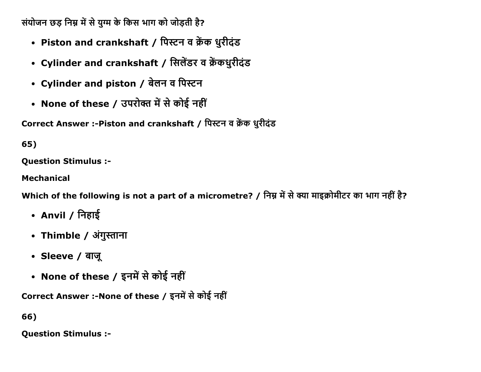संयोजन छड़ निम्न में से युग्म के किस भाग को जोड़ती है?

- Piston and crankshaft / पिस्टन व क्रेंक धुरीदंड
- Cylinder and crankshaft / सिलेंडर व क्रेंकधुरीदंड
- Cylinder and piston / बेलन व पिस्टन
- None of these / उपरोक्त में से कोई नहीं

Correct Answer :-Piston and crankshaft / पिस्टन व क्रेंक धुरीदंड

65)

**Question Stimulus :-**

**Mechanical** 

Which of the following is not a part of a micrometre? / निम्न में से क्या माइक्रोमीटर का भाग नहीं है?

- Anvil / निहाई
- Thimble / अंगुस्ताना
- Sleeve / बाजू
- None of these / इनमें से कोई नहीं

Correct Answer :- None of these / इनमें से कोई नहीं

66)

**Question Stimulus :-**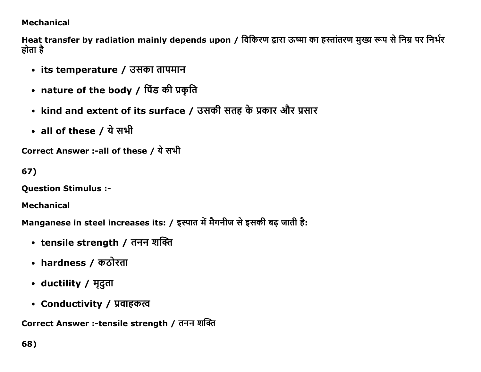## **Mechanical**

Heat transfer by radiation mainly depends upon / विकिरण द्वारा ऊष्मा का हस्तांतरण मुख्य रूप से निम्न पर निर्भर होता है

- its temperature / उसका तापमान
- nature of the body / पिंड की प्रकृति
- kind and extent of its surface / उसकी सतह के प्रकार और प्रसार
- all of these / ये सभी

```
Correct Answer :-all of these / ये सभी
```
67)

**Question Stimulus :-**

**Mechanical** 

Manganese in steel increases its: / इस्पात में मैगनीज से इसकी बढ़ जाती है:

- tensile strength / तनन शक्ति
- hardness / कठोरता
- ductility / मृदुता
- Conductivity / प्रवाहकत्व

Correct Answer :-tensile strength / तनन शक्ति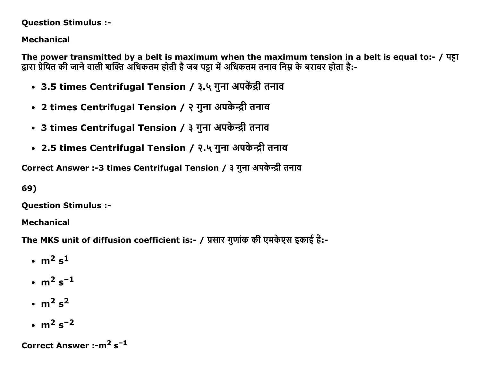#### Question Stimulus :

# Mechanical

The power transmitted by a belt is maximum when the maximum tension in a belt is equal to:- /  $\Psi$  $\Xi$ द्वारा प्रेषित की जाने वाली शक्ति अधिकतम होती है जब पट्टा में अधिकतम तनाव निम्न के बराबर होता है:-

- 3.5 times Centrifugal Tension / ३.५ गुना अपकेंद्री तनाव
- 2 times Centrifugal Tension / २ गुना अपकेन्द्री तनाव
- 3 times Centrifugal Tension / ३ गुना अपकेन्द्री तनाव
- 2.5 times Centrifugal Tension / २.५ गुना अपकेन्द्री तनाव

Correct Answer :-3 times Centrifugal Tension / ३ गुना अपकेन्द्री तनाव

69)

Question Stimulus :

Mechanical

The MKS unit of diffusion coefficient is:- / प्रसार गुणांक की एमकेएस इकाई है:-

- $\cdot$  m<sup>2</sup> s<sup>1</sup>
- $\cdot$  m<sup>2</sup> s<sup>-1</sup>
- $\cdot$  m<sup>2</sup> s<sup>2</sup>
- $\cdot$  m<sup>2</sup> s<sup>-2</sup>

Correct Answer :- $m^2$  s<sup>-1</sup>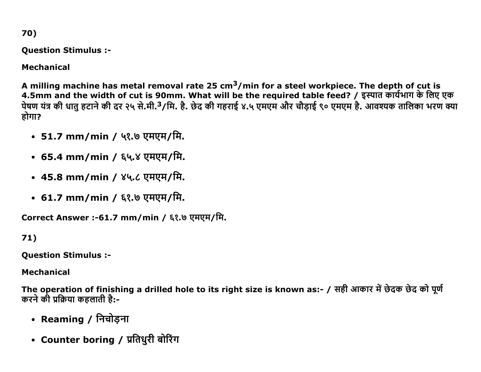70)

Question Stimulus :

Mechanical

A milling machine has metal removal rate 25 cm<sup>3</sup>/min for a steel workpiece. The depth of cut is 4.5mm and the width of cut is 90mm. What will be the required table feed? / इस्पात कार्यभाग के लिए एक पेषण यंत्र की धातु हटाने की दर २५ से.मी.<sup>3</sup>/मि. है. छेद की गहराई ४.५ एमएम और चौड़ाई ९० एमएम है. आवश्यक तालिका भरण क्या होगा?

- 51.7 mm/min / ५१.७ एमएम/मि.
- 65.4 mm/min / ६५.४ एमएम/मि.
- 45.8 mm/min / ४५.८ एमएम/मि.
- 61.7 mm/min / ६१.७ एमएम/मि.

Correct Answer :-61.7 mm/min / ६१.७ एमएम/मि.

71)

Question Stimulus :

Mechanical

The operation of finishing a drilled hole to its right size is known as:- / सही आकार में छेदक छेद को पूर्ण करने की प्रक्रिया कहलाती है:-

- Reaming / निचोडना
- Counter boring / प्रतिधुरी बोरिंग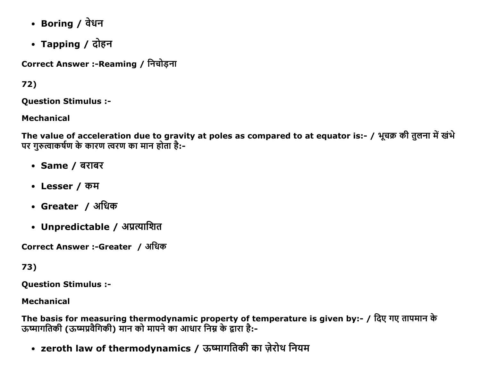- Boring / वेधन
- Tapping / दोहन

Correct Answer :- Reaming / निचोडना

# $72)$

**Ouestion Stimulus :-**

**Mechanical** 

The value of acceleration due to gravity at poles as compared to at equator is:- / भूचक्र की तुलना में खंभे पर गुरुत्वाकर्षण के कारण त्वरण का मान होता है:-

- Same / बराबर
- Lesser / कम
- Greater / अधिक
- Unpredictable / अप्रत्याशित

Correct Answer :-Greater / अधिक

# 73)

**Question Stimulus :-**

# **Mechanical**

The basis for measuring thermodynamic property of temperature is given by:- / दिए गए तापमान के ऊष्मागतिकी (ऊष्मप्रवैगिकी) मान को मापने का आधार निम्न के द्वारा है:-

• zeroth law of thermodynamics / ऊष्मागतिकी का ज़ेरोथ नियम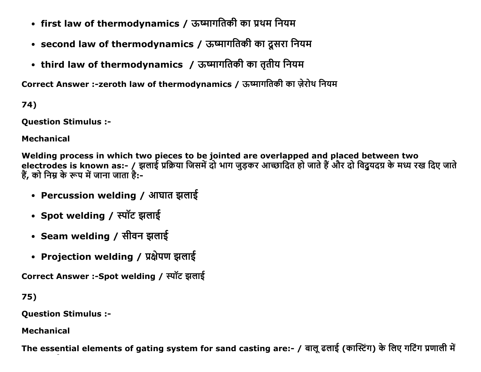- first law of thermodynamics / ऊष्मागतिकी का प्रथम नियम
- second law of thermodynamics / ऊष्मागतिकी का दूसरा नियम
- third law of thermodynamics / ऊष्मागतिकी का तृतीय नियम

Correct Answer :-zeroth law of thermodynamics / ऊष्मागतिकी का ज़ेरोथ नियम

74)

**Ouestion Stimulus :-**

**Mechanical** 

Welding process in which two pieces to be jointed are overlapped and placed between two electrodes is known as:- / झलाई प्रक्रिया जिसमें दो भाग जुड़कर आच्छादित हो जाते हैं और दो विदुयदग्र के मध्य रख दिए जाते हैं, को निम्न के रूप में जाना जाता है:-

- Percussion welding / आघात झलाई
- Spot welding / स्पॉट झलाई
- Seam welding / सीवन झलाई
- Projection welding / प्रक्षेपण झलाई

Correct Answer :-Spot welding / स्पॉट झलाई

75)

**Question Stimulus :-**

**Mechanical** 

The essential elements of gating system for sand casting are:- / बालू ढलाई (कास्टिंग) के लिए गटिंग प्रणाली में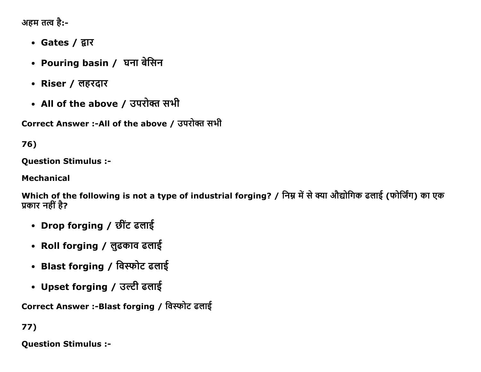अहम तत्व है:-

- Gates / द्वार
- Pouring basin / घना बेसिन
- Riser / लहरदार
- All of the above / उपरोक्त सभी

Correct Answer :-All of the above / उपरोक्त सभी

# $76)$

**Question Stimulus :-**

**Mechanical** 

Which of the following is not a type of industrial forging? / निम्न में से क्या औद्योगिक ढलाई (फोर्जिंग) का एक प्रकार नहीं है?

- Drop forging / छींट ढलाई
- Roll forging / लुढकाव ढलाई
- Blast forging / विस्फोट ढलाई
- Upset forging / उल्टी ढलाई

Correct Answer :-Blast forging / विस्फोट ढलाई

# $77)$

**Ouestion Stimulus :-**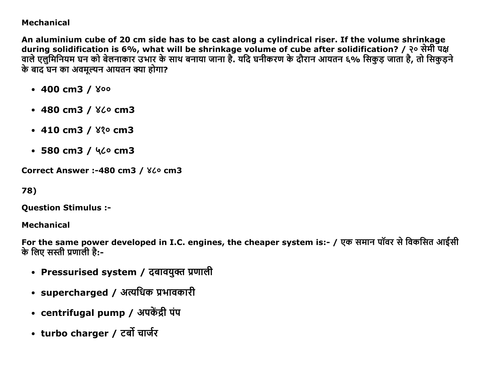### **Mechanical**

An aluminium cube of 20 cm side has to be cast along a cylindrical riser. If the volume shrinkage during solidification is 6%, what will be shrinkage volume of cube after solidification? / २० सेमी पक्ष वाले एलुमिनियम घन को बेलनाकार उभार के साथ बनाया जाना है. यदि घनीकरण के दौरान आयतन ६% सिकड़ जाता है, तो सिकड़ने के बाद घन का अवमल्यन आयतन क्या होगा?

- $\cdot$  400 cm3 /  $\sqrt{ }$
- $\cdot$  480 cm3 /  $8$  $\circ$  cm3
- $\cdot$  410 cm3 /  $8\%$  cm3
- $\cdot$  580 cm3 / 46 $\circ$  cm3

Correct Answer :-480 cm3 / 860 cm3

78)

**Ouestion Stimulus :-**

**Mechanical** 

For the same power developed in I.C. engines, the cheaper system is:- / एक समान पॉवर से विकसित आईसी के लिए सस्ती प्रणाली है:-

- Pressurised system / दबावयुक्त प्रणाली
- supercharged / अत्यधिक प्रभावकारी
- centrifugal pump / अपकेंद्री पंप
- turbo charger / टर्बो चार्जर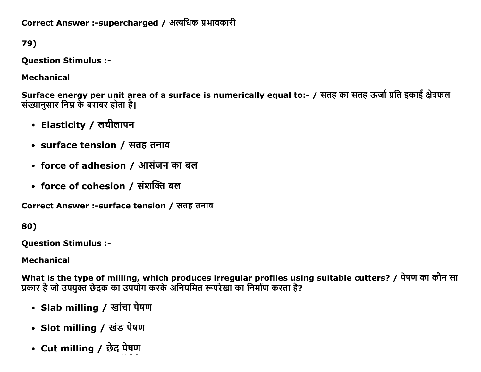Correct Answer :- supercharged / अत्यधिक प्रभावकारी

79)

**Question Stimulus :-**

**Mechanical** 

Surface energy per unit area of a surface is numerically equal to:- / सतह का सतह ऊर्जा प्रति इकाई क्षेत्रफल संख्यानुसार निम्न के बराबर होता है।

- Elasticity / लचीलापन
- surface tension / सतह तनाव
- force of adhesion / आसंजन का बल
- force of cohesion / संशक्ति बल

Correct Answer :-surface tension / सतह तनाव

80)

**Ouestion Stimulus :-**

**Mechanical** 

What is the type of milling, which produces irregular profiles using suitable cutters? / पेषण का कौन सा प्रकार है जो उपयुक्त छेदक का उपयोग करके अनियमित रूपरेखा का निर्माण करता है?

- Slab milling / खांचा पेषण
- Slot milling / खंड पेषण
- Cut milling / छेद पेषण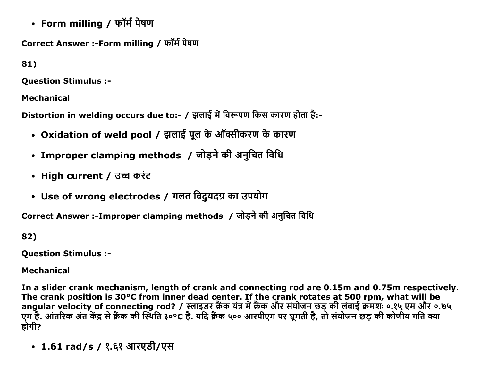• Form milling / फॉर्म पेषण

Correct Answer :-Form milling / फॉर्म पेषण

81)

**Ouestion Stimulus :-**

**Mechanical** 

Distortion in welding occurs due to:- / झलाई में विरूपण किस कारण होता है:-

- Oxidation of weld pool / झलाई पूल के ऑक्सीकरण के कारण
- Improper clamping methods / जोड़ने की अनुचित विधि
- High current / उच्च करंट
- Use of wrong electrodes / गलत विद्रुयदग्र का उपयोग

Correct Answer :-Improper clamping methods / जोड़ने की अनुचित विधि

82)

**Question Stimulus :-**

**Mechanical** 

In a slider crank mechanism, length of crank and connecting rod are 0.15m and 0.75m respectively. The crank position is 30°C from inner dead center. If the crank rotates at 500 rpm, what will be angular velocity of connecting rod? / स्लाइडर क्रैंक यंत्र में क्रैंक और संयोजन छड़ की लंबाई क्रमशः ०.१५ एम और ०.७५ एम है. आंतरिक अंत केंद्र से क्रैंक की स्थिति ३०°C है. यदि क्रैंक ५०० आरपीएम पर घूमती है, तो संयोजन छड़ की कोणीय गति क्या होगी?

• 1.61 rad/s / १.६१ आरएडी/एस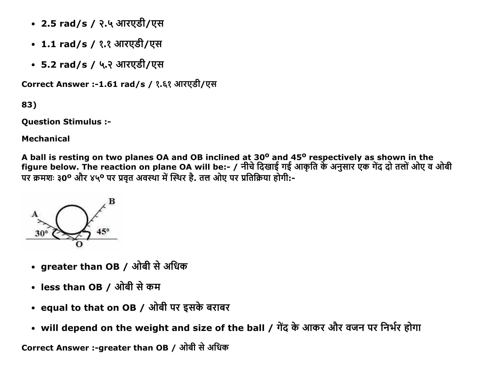- 2.5 rad/s / २.५ आरएडी/एस
- 1.1 rad/s / १.१ आरएडी/एस
- 5.2 rad/s / ५.२ आरएडी/एस

Correct Answer :-1.61 rad/s / १.६१ आरएडी/एस

83)

Question Stimulus :

Mechanical

A ball is resting on two planes OA and OB inclined at 30<sup>o</sup> and 45<sup>o</sup> respectively as shown in the figure below. The reaction on plane OA will be:- / नीचे दिखाई गई आकृति के अनुसार एक गेंद दो तलों ओए व ओबी पर क्रमशः ३0° और ४५° पर प्रवृत अवस्था में स्थिर है. तल ओए पर प्रतिक्रिया होगी:-



- greater than OB / ओबी से अधिक
- less than OB / ओबी से कम
- equal to that on OB / ओबी पर इसके बराबर
- will depend on the weight and size of the ball / गेंद के आकर और वजन पर निर्भर होगा

Correct Answer :-greater than OB / ओबी से अधिक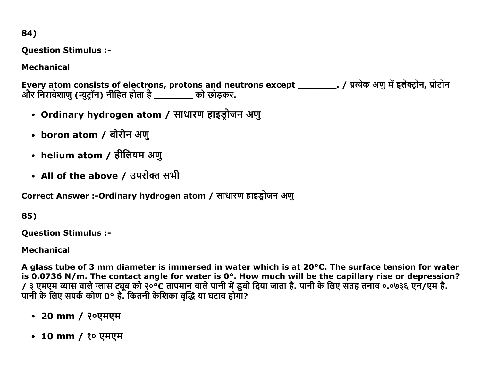84)

**Question Stimulus :-**

**Mechanical** 

Every atom consists of electrons, protons and neutrons except \_\_\_\_\_\_\_\_\_\_. / प्रत्येक अणु में इलेक्ट्रोन, प्रोटोन और निरावेशाणु (न्युट्रॉन) नीहित होता है \_\_\_\_\_\_\_ को छोड़कर.

- Ordinary hydrogen atom / साधारण हाइड्रोजन अणु
- boron atom / बोरोन अणु
- helium atom / हीलियम अणु
- All of the above / उपरोक्त सभी

Correct Answer :-Ordinary hydrogen atom / साधारण हाइड़ोजन अणु

85)

**Ouestion Stimulus :-**

**Mechanical** 

A glass tube of 3 mm diameter is immersed in water which is at 20°C. The surface tension for water is 0.0736 N/m. The contact angle for water is 0°. How much will be the capillary rise or depression? / ३ एमएम व्यास वाले ग्लास ट्यूब को २०°C तापमान वाले पानी में डुबो दिया जाता है. पानी के लिए सतह तनाव ०.०७३६ एन/एम है. पानी के लिए संपर्क कोण 0° हैं. कितनी केशिका वद्धि या घटाव होगा?

- 20 mm / २०एमएम
- 10 mm / 20 एमएम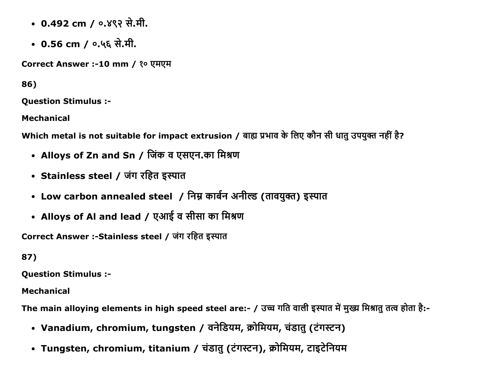- 0.492 cm / ०.४९२ से.मी.
- 0.56 cm / ०.५६ से.मी.

Correct Answer :-10 mm / १० एमएम

86)

Question Stimulus :

Mechanical

Which metal is not suitable for impact extrusion / बाह्य प्रभाव के लिए कौन सी धातु उपयुक्त नहीं है?

- Alloys of Zn and Sn / जिंक व एसएन.का मिश्रण
- Stainless steel / जंग रहित इस्पात
- Low carbon annealed steel / निम्न कार्बन अनील्ड (तावयुक्त) इस्पात
- Alloys of Al and lead / एआई व सीसा का मिश्रण

Correct Answer :-Stainless steel / जंग रहित इस्पात

87)

Question Stimulus :

Mechanical

The main alloying elements in high speed steel are:- / उच्च गति वाली इस्पात में मुख्य मिश्रात तत्व होता है:-

- Vanadium, chromium, tungsten / वनेडियम, क्रोमियम, चंडातु (टंगस्टन)
- Tungsten, chromium, titanium / चंडातु (टंगस्टन), क्रोमियम, टाइटेनियम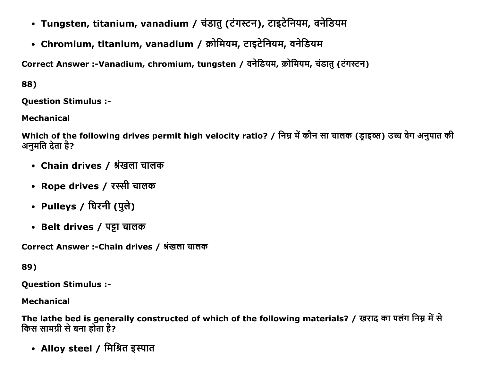- Tungsten, titanium, vanadium / चंडातु (टंगस्टन), टाइटेनियम, वनेडियम
- Chromium, titanium, vanadium / क्रोमियम, टाइटेनियम, वनेडियम

Correct Answer :-Vanadium, chromium, tungsten / वनेडियम, क्रोमियम, चंडातु (टंगस्टन)

88)

**Ouestion Stimulus :-**

**Mechanical** 

Which of the following drives permit high velocity ratio? / निम्न में कौन सा चालक (डाइव्स) उच्च वेग अनुपात की अनमति देता है?

- Chain drives / श्रृंखला चालक
- Rope drives / रस्सी चालक
- Pulleys / घिरनी (पुले)
- Belt drives / पट्टा चालक

Correct Answer :-Chain drives / श्रृंखला चालक

# 89)

**Question Stimulus :-**

# **Mechanical**

The lathe bed is generally constructed of which of the following materials? / खराद का पलंग निम्न में से किस सामग्री से बना होता है?

• Alloy steel / मिश्रित इस्पात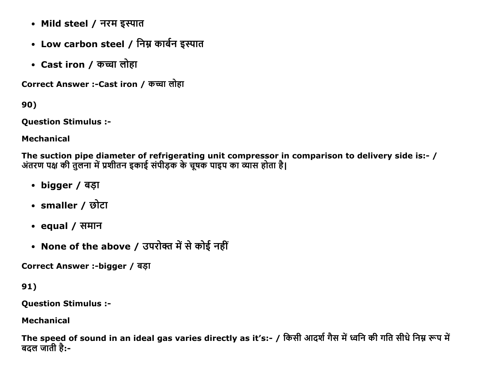- Mild steel / नरम इस्पात
- Low carbon steel / निम्न कार्बन इस्पात
- Cast iron / कच्चा लोहा

Correct Answer :- Cast iron / कच्चा लोहा

90)

**Question Stimulus :-**

**Mechanical** 

The suction pipe diameter of refrigerating unit compressor in comparison to delivery side is:- / अंतरण पक्ष की तुलना में प्रशीतन इकाई संपीड़क के चूषक पाइप का व्यास होता है।

- bigger / बड़ा
- smaller / छोटा
- equal / समान
- None of the above / उपरोक्त में से कोई नहीं

Correct Answer :-bigger / बड़ा

 $91)$ 

**Question Stimulus :-**

**Mechanical** 

The speed of sound in an ideal gas varies directly as it's:- / किसी आदर्श गैस में ध्वनि की गति सीधे निम्न रूप में बदल जाती है:-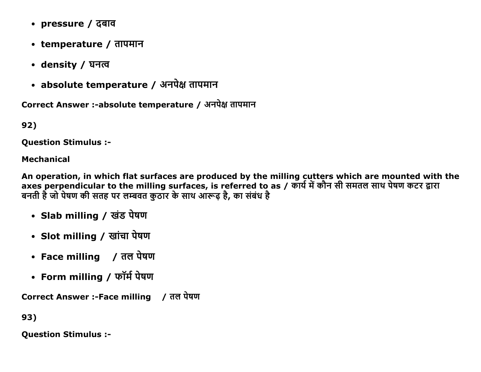- pressure / दबाव
- temperature / तापमान
- density / घनत्व
- absolute temperature / अनपेक्ष तापमान

Correct Answer :-absolute temperature / अनपेक्ष तापमान

92)

**Ouestion Stimulus :-**

#### **Mechanical**

An operation, in which flat surfaces are produced by the milling cutters which are mounted with the axes perpendicular to the milling surfaces, is referred to as / कार्य में कौन सी समतल साथ पेषण कटर द्वारा बनती है जो पेषण की सतह पर लम्बवत कुठार के साथ आरूढ़ है, का संबंध है

- Slab milling / खंड पेषण
- Slot milling / खांचा पेषण
- Face milling / तल पेषण
- Form milling / फॉर्म पेषण

Correct Answer :-Face milling / तल पेषण

93)

**Question Stimulus :-**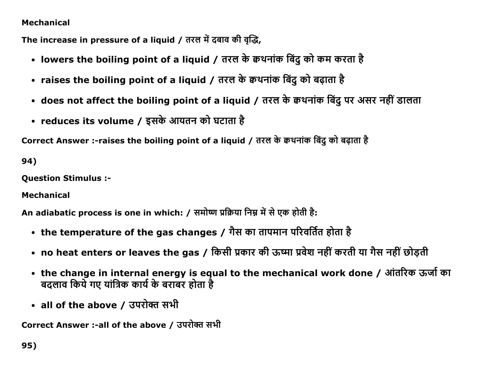### Mechanical

The increase in pressure of a liquid / तरल में दबाव की वृद्धि,

- lowers the boiling point of a liquid / तरल के क्वथनांक बिंदु को कम करता है
- raises the boiling point of a liquid / तरल के क्वथनांक बिंदू को बढ़ाता है
- does not affect the boiling point of a liquid / तरल के क्वथनांक बिंदु पर असर नहीं डालता
- reduces its volume / इसके आयतन को घटाता है

Correct Answer :-raises the boiling point of a liquid / तरल के क्वथनांक बिंदु को बढ़ाता है

94)

Question Stimulus :

Mechanical

An adiabatic process is one in which: / समोष्ण प्रक्रिया निम्न में से एक होती है:

- the temperature of the gas changes / गैस का तापमान परिवर्तित होता है
- no heat enters or leaves the gas / किसी प्रकार की ऊष्मा प्रवेश नहीं करती या गैस नहीं छोड़ती
- the change in internal energy is equal to the mechanical work done / आंतरिक ऊर्जा का बदलाव किये गए यांत्रिक कार्य के बराबर होता है
- all of the above / उपरोक्त सभी

Correct Answer :-all of the above / उपरोक्त सभी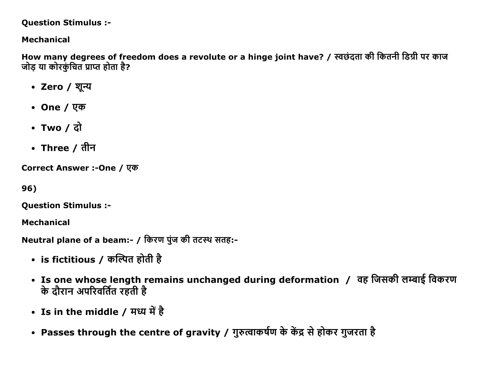#### **Question Stimulus :-**

## **Mechanical**

How many degrees of freedom does a revolute or a hinge joint have? / स्वछंदता की कितनी डिग्री पर काज जोड या कोरकुंचित प्राप्त होता है?

- Zero / शून्य
- One /  $\nabla \Phi$
- Two  $/$  दो
- Three / तीन

Correct Answer :-One / एक

96)

**Question Stimulus :-**

**Mechanical** 

Neutral plane of a beam:- / किरण पुंज की तटस्थ सतह:-

- is fictitious / कल्पित होती है
- Is one whose length remains unchanged during deformation / वह जिसकी लम्बाई विकरण के दौरान अपरिवर्तित रहती है
- Is in the middle / मध्य में है
- Passes through the centre of gravity / गुरुत्वाकर्षण के केंद्र से होकर गुजरता है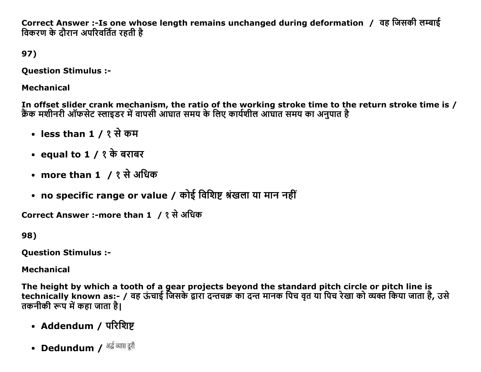Correct Answer :-Is one whose length remains unchanged during deformation / वह जिसकी लम्बाई विकरण के दौरान अपरिवर्तित रहती है

# 97)

**Ouestion Stimulus :-**

## **Mechanical**

In offset slider crank mechanism, the ratio of the working stroke time to the return stroke time is / क्रैंक मशीनरी ऑफसेट स्लाइडर में वापसी आंघात समय के लिए कार्यशील आंघात समय का अनुपात है

- less than 1 / १ से कम
- equal to  $1 / 2$  के बराबर
- more than 1 / १ से अधिक
- no specific range or value / कोई विशिष्ट श्रंखला या मान नहीं

```
Correct Answer :-more than 1 / १ से अधिक
```
98)

**Ouestion Stimulus :-**

## **Mechanical**

The height by which a tooth of a gear projects beyond the standard pitch circle or pitch line is technically known as:- / वह ऊंचाई जिसके द्वारा दन्तचक्र का दन्त मानक पिच वत या पिच रेखा को व्यक्त किया जाता है, उसे तकनीकी रूप में कहा जाता है।

- Addendum / परिशिष्ट
- Dedundum / <sup>अर्द्ध व्यास दूरी</sup>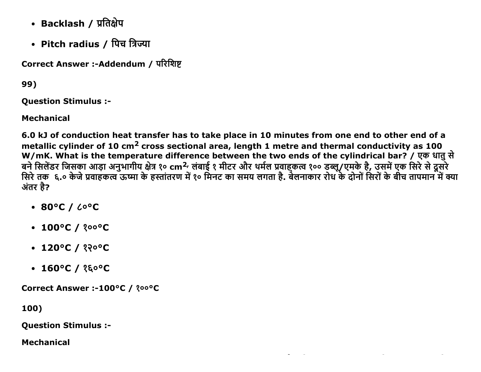- Backlash / प्रतिक्षेप
- Pitch radius / पिच त्रिज्या

Correct Answer :-Addendum / परिशिष्ट

99)

**Ouestion Stimulus :-**

**Mechanical** 

6.0 kJ of conduction heat transfer has to take place in 10 minutes from one end to other end of a metallic cylinder of 10 cm<sup>2</sup> cross sectional area, length 1 metre and thermal conductivity as 100 W/mK. What is the temperature difference between the two ends of the cylindrical bar? / एक धातु से बने सिलेंडर जिसका आड़ा अनुभागीय क्षेत्र १० cm<sup>2,</sup> लंबाई १ मीटर और थर्मल प्रवाहकत्व १०० डब्लू/एमके है, उसमें एक सिरे से दूसरे<br>सिरे तक ६.० केजे प्रवाहकत्व ऊष्मा के हस्तांतरण में १० मिनट का समय लगता है. बेलनाकार रोध के दोनो अंतर है?

- $\cdot$  80°C /  $\sim$  6°C
- $\cdot$  100°C / ?00°C
- $\cdot$  120°C / १२०°C
- $\cdot$  160°C / ?& $\circ$ °C

Correct Answer :-100°C / ?00°C

100)

**Question Stimulus :-**

**Mechanical**